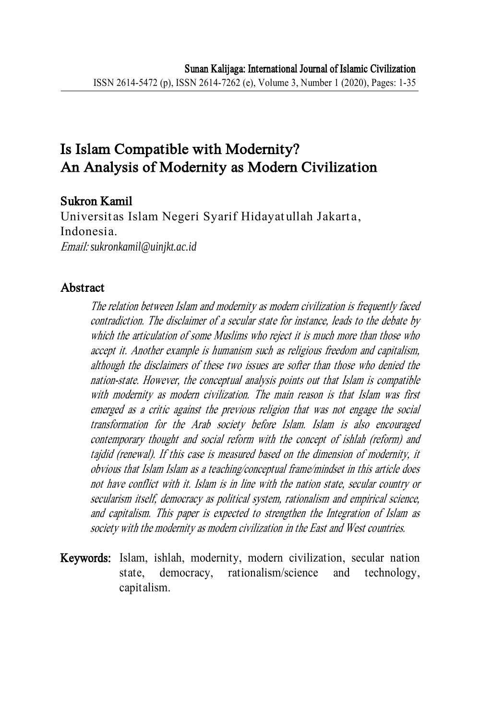# Is Islam Compatible with Modernity? An Analysis of Modernity as Modern Civilization

# Sukron Kamil

Universitas Islam Negeri Syarif Hidayatullah Jakarta, Indonesia. Email: *sukronkamil@uinjkt.ac.id*

#### Abstract

The relation between Islam and modernity as modern civilization is frequently faced contradiction. The disclaimer of a secular state for instance, leads to the debate by which the articulation of some Muslims who reject it is much more than those who accept it. Another example is humanism such as religious freedom and capitalism, although the disclaimers of these two issues are softer than those who denied the nation-state. However, the conceptual analysis points out that Islam is compatible with modernity as modern civilization. The main reason is that Islam was first emerged as a critic against the previous religion that was not engage the social transformation for the Arab society before Islam. Islam is also encouraged contemporary thought and social reform with the concept of ishlah (reform) and tajdid (renewal). If this case is measured based on the dimension of modernity, it obvious that Islam Islam as a teaching/conceptual frame/mindset in this article does not have conflict with it. Islam is in line with the nation state, secular country or secularism itself, democracy as political system, rationalism and empirical science, and capitalism. This paper is expected to strengthen the Integration of Islam as society with the modernity as modern civilization in the East and West countries.

Keywords: Islam, ishlah, modernity, modern civilization, secular nation state, democracy, rationalism/science and technology, capitalism.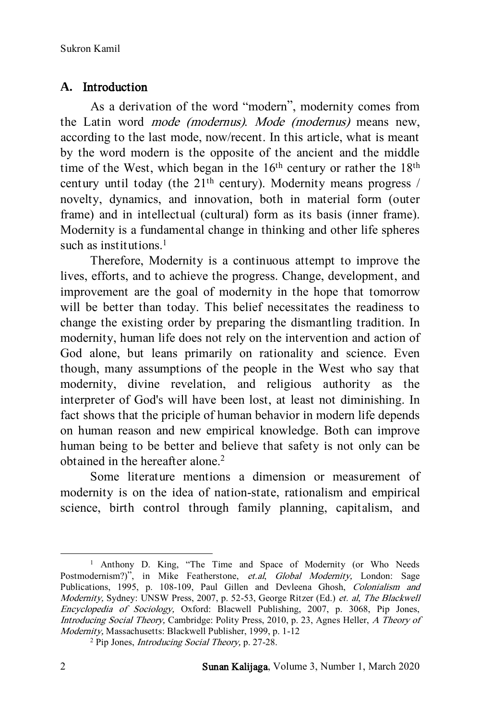# **A.** Introduction

As a derivation of the word "modern", modernity comes from the Latin word mode (modernus). Mode (modernus) means new, according to the last mode, now/recent. In this article, what is meant by the word modern is the opposite of the ancient and the middle time of the West, which began in the  $16<sup>th</sup>$  century or rather the  $18<sup>th</sup>$ century until today (the 21<sup>th</sup> century). Modernity means progress / novelty, dynamics, and innovation, both in material form (outer frame) and in intellectual (cultural) form as its basis (inner frame). Modernity is a fundamental change in thinking and other life spheres such as institutions.<sup>1</sup>

Therefore, Modernity is a continuous attempt to improve the lives, efforts, and to achieve the progress. Change, development, and improvement are the goal of modernity in the hope that tomorrow will be better than today. This belief necessitates the readiness to change the existing order by preparing the dismantling tradition. In modernity, human life does not rely on the intervention and action of God alone, but leans primarily on rationality and science. Even though, many assumptions of the people in the West who say that modernity, divine revelation, and religious authority as the interpreter of God's will have been lost, at least not diminishing. In fact shows that the priciple of human behavior in modern life depends on human reason and new empirical knowledge. Both can improve human being to be better and believe that safety is not only can be obtained in the hereafter alone.<sup>2</sup>

Some literature mentions a dimension or measurement of modernity is on the idea of nation-state, rationalism and empirical science, birth control through family planning, capitalism, and

<sup>&</sup>lt;sup>1</sup> Anthony D. King, "The Time and Space of Modernity (or Who Needs Postmodernism?)", in Mike Featherstone, et.al, Global Modernity, London: Sage Publications, 1995, p. 108-109, Paul Gillen and Devleena Ghosh, Colonialism and Modernity, Sydney: UNSW Press, 2007, p. 52-53, George Ritzer (Ed.) et. al, The Blackwell Encyclopedia of Sociology, Oxford: Blacwell Publishing, 2007, p. 3068, Pip Jones, Introducing Social Theory, Cambridge: Polity Press, 2010, p. 23, Agnes Heller, A Theory of Modernity, Massachusetts: Blackwell Publisher, 1999, p. 1-12

<sup>2</sup> Pip Jones, Introducing Social Theory, p. 27-28.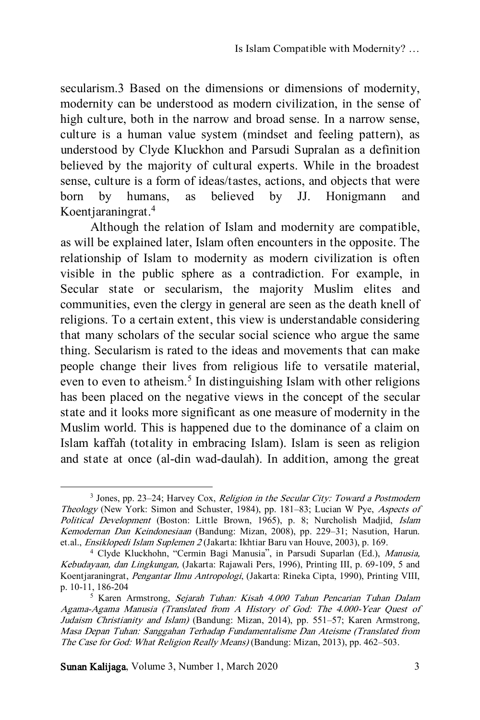secularism.3 Based on the dimensions or dimensions of modernity, modernity can be understood as modern civilization, in the sense of high culture, both in the narrow and broad sense. In a narrow sense, culture is a human value system (mindset and feeling pattern), as understood by Clyde Kluckhon and Parsudi Supralan as a definition believed by the majority of cultural experts. While in the broadest sense, culture is a form of ideas/tastes, actions, and objects that were born by humans, as believed by JJ. Honigmann and Koentjaraningrat.<sup>4</sup>

Although the relation of Islam and modernity are compatible, as will be explained later, Islam often encounters in the opposite. The relationship of Islam to modernity as modern civilization is often visible in the public sphere as a contradiction. For example, in Secular state or secularism, the majority Muslim elites and communities, even the clergy in general are seen as the death knell of religions. To a certain extent, this view is understandable considering that many scholars of the secular social science who argue the same thing. Secularism is rated to the ideas and movements that can make people change their lives from religious life to versatile material, even to even to atheism.<sup>5</sup> In distinguishing Islam with other religions has been placed on the negative views in the concept of the secular state and it looks more significant as one measure of modernity in the Muslim world. This is happened due to the dominance of a claim on Islam kaffah (totality in embracing Islam). Islam is seen as religion and state at once (al-din wad-daulah). In addition, among the great

Sunan Kalijaga, Volume 3, Number 1, March 2020 3

<sup>&</sup>lt;sup>3</sup> Jones, pp. 23–24; Harvey Cox, Religion in the Secular City: Toward a Postmodern Theology (New York: Simon and Schuster, 1984), pp. 181–83; Lucian W Pye, Aspects of Political Development (Boston: Little Brown, 1965), p. 8; Nurcholish Madjid, Islam Kemodernan Dan Keindonesiaan (Bandung: Mizan, 2008), pp. 229–31; Nasution, Harun. et.al., Ensiklopedi Islam Suplemen 2 (Jakarta: Ikhtiar Baru van Houve, 2003), p. 169.

<sup>4</sup> Clyde Kluckhohn, "Cermin Bagi Manusia", in Parsudi Suparlan (Ed.), Manusia, Kebudayaan, dan Lingkungan, (Jakarta: Rajawali Pers, 1996), Printing III, p. 69-109, 5 and Koentjaraningrat, Pengantar Ilmu Antropologi, (Jakarta: Rineka Cipta, 1990), Printing VIII, p. 10-11, 186-204

<sup>5</sup> Karen Armstrong, Sejarah Tuhan: Kisah 4.000 Tahun Pencarian Tuhan Dalam Agama-Agama Manusia (Translated from A History of God: The 4.000-Year Quest of Judaism Christianity and Islam) (Bandung: Mizan, 2014), pp. 551–57; Karen Armstrong, Masa Depan Tuhan: Sanggahan Terhadap Fundamentalisme Dan Ateisme (Translated from The Case for God: What Religion Really Means) (Bandung: Mizan, 2013), pp. 462–503.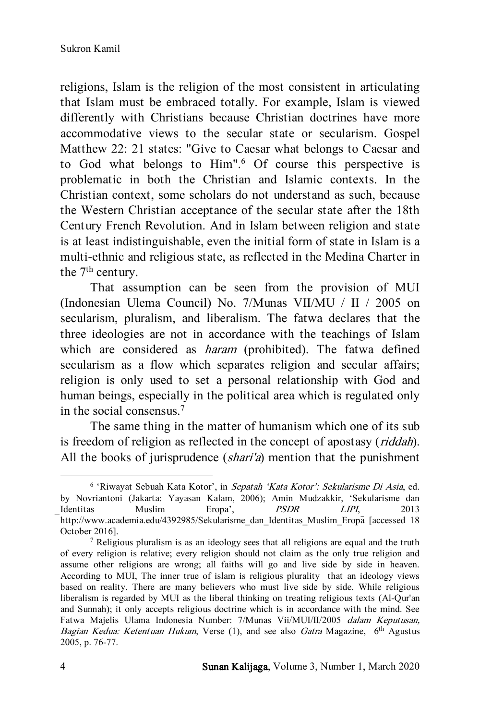religions, Islam is the religion of the most consistent in articulating that Islam must be embraced totally. For example, Islam is viewed differently with Christians because Christian doctrines have more accommodative views to the secular state or secularism. Gospel Matthew 22: 21 states: "Give to Caesar what belongs to Caesar and to God what belongs to Him".<sup>6</sup> Of course this perspective is problematic in both the Christian and Islamic contexts. In the Christian context, some scholars do not understand as such, because the Western Christian acceptance of the secular state after the 18th Century French Revolution. And in Islam between religion and state is at least indistinguishable, even the initial form of state in Islam is a multi-ethnic and religious state, as reflected in the Medina Charter in the 7<sup>th</sup> century.

That assumption can be seen from the provision of MUI (Indonesian Ulema Council) No. 7/Munas VII/MU / II / 2005 on secularism, pluralism, and liberalism. The fatwa declares that the three ideologies are not in accordance with the teachings of Islam which are considered as *haram* (prohibited). The fatwa defined secularism as a flow which separates religion and secular affairs; religion is only used to set a personal relationship with God and human beings, especially in the political area which is regulated only in the social consensus.<sup>7</sup>

The same thing in the matter of humanism which one of its sub is freedom of religion as reflected in the concept of apostasy (riddah). All the books of jurisprudence (shari'a) mention that the punishment

l

<sup>&</sup>lt;sup>6</sup> 'Riwayat Sebuah Kata Kotor', in Sepatah 'Kata Kotor': Sekularisme Di Asia, ed. by Novriantoni (Jakarta: Yayasan Kalam, 2006); Amin Mudzakkir, 'Sekularisme dan Identitas Muslim Eropa', *PSDR LIPI*, 2013 http://www.academia.edu/4392985/Sekularisme\_dan\_Identitas\_Muslim\_Eropa [accessed 18 October 2016].

<sup>7</sup> Religious pluralism is as an ideology sees that all religions are equal and the truth of every religion is relative; every religion should not claim as the only true religion and assume other religions are wrong; all faiths will go and live side by side in heaven. According to MUI, The inner true of islam is religious plurality that an ideology views based on reality. There are many believers who must live side by side. While religious liberalism is regarded by MUI as the liberal thinking on treating religious texts (Al-Qur'an and Sunnah); it only accepts religious doctrine which is in accordance with the mind. See Fatwa Majelis Ulama Indonesia Number: 7/Munas Vii/MUI/II/2005 dalam Keputusan, Bagian Kedua: Ketentuan Hukum, Verse (1), and see also Gatra Magazine, 6<sup>th</sup> Agustus 2005, p. 76-77.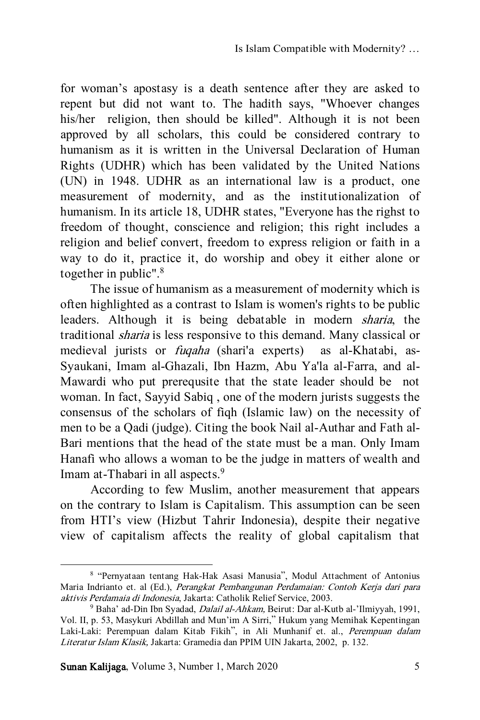for woman's apostasy is a death sentence after they are asked to repent but did not want to. The hadith says, "Whoever changes his/her religion, then should be killed". Although it is not been approved by all scholars, this could be considered contrary to humanism as it is written in the Universal Declaration of Human Rights (UDHR) which has been validated by the United Nations (UN) in 1948. UDHR as an international law is a product, one measurement of modernity, and as the institutionalization of humanism. In its article 18, UDHR states, "Everyone has the righst to freedom of thought, conscience and religion; this right includes a religion and belief convert, freedom to express religion or faith in a way to do it, practice it, do worship and obey it either alone or together in public".<sup>8</sup>

The issue of humanism as a measurement of modernity which is often highlighted as a contrast to Islam is women's rights to be public leaders. Although it is being debatable in modern sharia, the traditional sharia is less responsive to this demand. Many classical or medieval jurists or fuqaha (shari'a experts) as al-Khatabi, as-Syaukani, Imam al-Ghazali, Ibn Hazm, Abu Ya'la al-Farra, and al-Mawardi who put prerequsite that the state leader should be not woman. In fact, Sayyid Sabiq , one of the modern jurists suggests the consensus of the scholars of fiqh (Islamic law) on the necessity of men to be a Qadi (judge). Citing the book Nail al-Authar and Fath al-Bari mentions that the head of the state must be a man. Only Imam Hanafi who allows a woman to be the judge in matters of wealth and Imam at-Thabari in all aspects.<sup>9</sup>

According to few Muslim, another measurement that appears on the contrary to Islam is Capitalism. This assumption can be seen from HTI's view (Hizbut Tahrir Indonesia), despite their negative view of capitalism affects the reality of global capitalism that

<sup>8</sup> "Pernyataan tentang Hak-Hak Asasi Manusia", Modul Attachment of Antonius Maria Indrianto et. al (Ed.), Perangkat Pembangunan Perdamaian: Contoh Kerja dari para aktivis Perdamaia di Indonesia, Jakarta: Catholik Relief Service, 2003.

<sup>9</sup> Baha' ad-Din Ibn Syadad, Dalail al-Ahkam, Beirut: Dar al-Kutb al-'Ilmiyyah, 1991, Vol. II, p. 53, Masykuri Abdillah and Mun'im A Sirri," Hukum yang Memihak Kepentingan Laki-Laki: Perempuan dalam Kitab Fikih", in Ali Munhanif et. al., Perempuan dalam Literatur Islam Klasik, Jakarta: Gramedia dan PPIM UIN Jakarta, 2002, p. 132.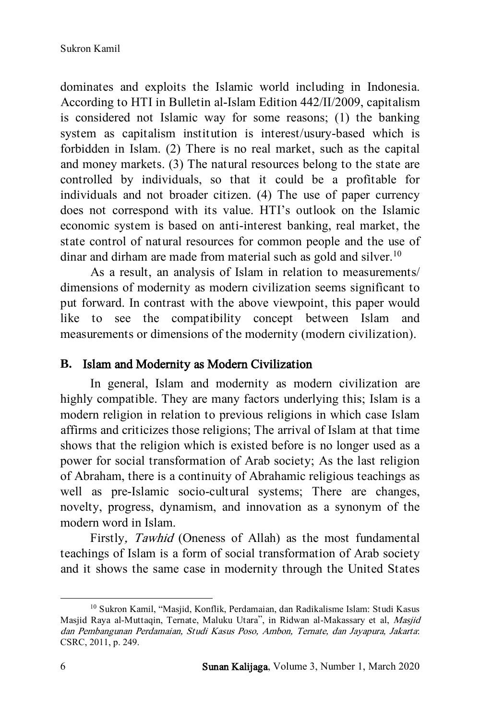dominates and exploits the Islamic world including in Indonesia. According to HTI in Bulletin al-Islam Edition 442/II/2009, capitalism is considered not Islamic way for some reasons; (1) the banking system as capitalism institution is interest/usury-based which is forbidden in Islam. (2) There is no real market, such as the capital and money markets. (3) The natural resources belong to the state are controlled by individuals, so that it could be a profitable for individuals and not broader citizen. (4) The use of paper currency does not correspond with its value. HTI's outlook on the Islamic economic system is based on anti-interest banking, real market, the state control of natural resources for common people and the use of dinar and dirham are made from material such as gold and silver.<sup>10</sup>

As a result, an analysis of Islam in relation to measurements/ dimensions of modernity as modern civilization seems significant to put forward. In contrast with the above viewpoint, this paper would like to see the compatibility concept between Islam and measurements or dimensions of the modernity (modern civilization).

#### **B.** Islam and Modernity as Modern Civilization

In general, Islam and modernity as modern civilization are highly compatible. They are many factors underlying this; Islam is a modern religion in relation to previous religions in which case Islam affirms and criticizes those religions; The arrival of Islam at that time shows that the religion which is existed before is no longer used as a power for social transformation of Arab society; As the last religion of Abraham, there is a continuity of Abrahamic religious teachings as well as pre-Islamic socio-cultural systems; There are changes, novelty, progress, dynamism, and innovation as a synonym of the modern word in Islam.

Firstly, Tawhid (Oneness of Allah) as the most fundamental teachings of Islam is a form of social transformation of Arab society and it shows the same case in modernity through the United States

<sup>10</sup> Sukron Kamil, "Masjid, Konflik, Perdamaian, dan Radikalisme Islam: Studi Kasus Masjid Raya al-Muttaqin, Ternate, Maluku Utara", in Ridwan al-Makassary et al, Masjid dan Pembangunan Perdamaian, Studi Kasus Poso, Ambon, Ternate, dan Jayapura, Jakarta: CSRC, 2011, p. 249.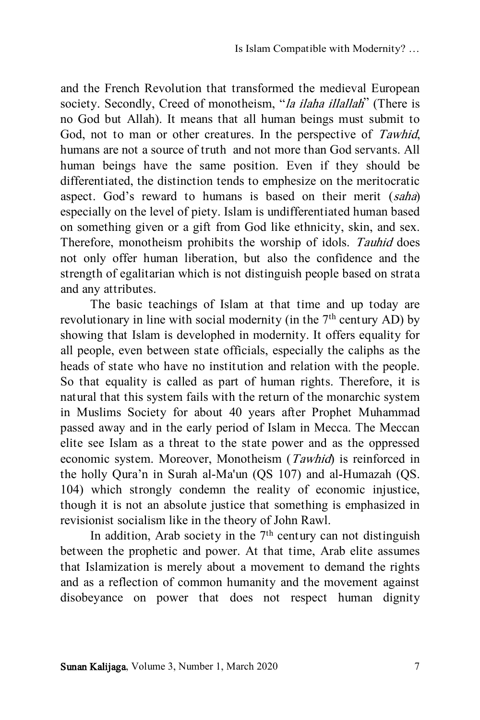and the French Revolution that transformed the medieval European society. Secondly, Creed of monotheism, "*la ilaha illallah*" (There is no God but Allah). It means that all human beings must submit to God, not to man or other creatures. In the perspective of Tawhid, humans are not a source of truth and not more than God servants. All human beings have the same position. Even if they should be differentiated, the distinction tends to emphesize on the meritocratic aspect. God's reward to humans is based on their merit (saha) especially on the level of piety. Islam is undifferentiated human based on something given or a gift from God like ethnicity, skin, and sex. Therefore, monotheism prohibits the worship of idols. Tauhid does not only offer human liberation, but also the confidence and the strength of egalitarian which is not distinguish people based on strata and any attributes.

The basic teachings of Islam at that time and up today are revolutionary in line with social modernity (in the  $7<sup>th</sup>$  century AD) by showing that Islam is develophed in modernity. It offers equality for all people, even between state officials, especially the caliphs as the heads of state who have no institution and relation with the people. So that equality is called as part of human rights. Therefore, it is natural that this system fails with the return of the monarchic system in Muslims Society for about 40 years after Prophet Muhammad passed away and in the early period of Islam in Mecca. The Meccan elite see Islam as a threat to the state power and as the oppressed economic system. Moreover, Monotheism (Tawhid) is reinforced in the holly Qura'n in Surah al-Ma'un (QS 107) and al-Humazah (QS. 104) which strongly condemn the reality of economic injustice, though it is not an absolute justice that something is emphasized in revisionist socialism like in the theory of John Rawl.

In addition, Arab society in the  $7<sup>th</sup>$  century can not distinguish between the prophetic and power. At that time, Arab elite assumes that Islamization is merely about a movement to demand the rights and as a reflection of common humanity and the movement against disobeyance on power that does not respect human dignity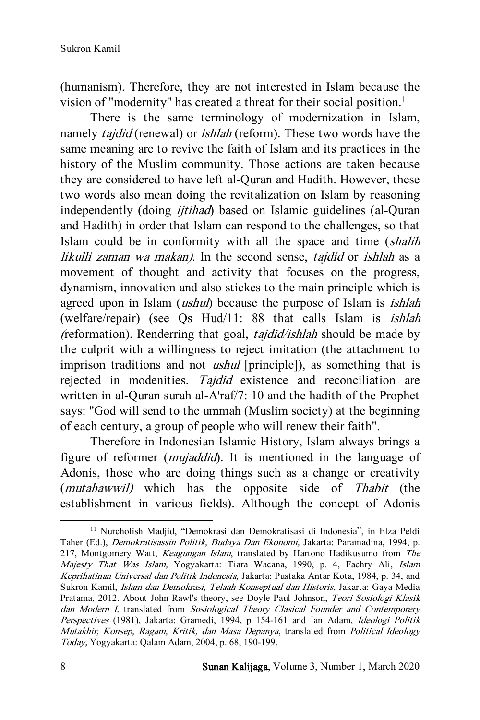(humanism). Therefore, they are not interested in Islam because the vision of "modernity" has created a threat for their social position.<sup>11</sup>

There is the same terminology of modernization in Islam, namely *tajdid* (renewal) or *ishlah* (reform). These two words have the same meaning are to revive the faith of Islam and its practices in the history of the Muslim community. Those actions are taken because they are considered to have left al-Quran and Hadith. However, these two words also mean doing the revitalization on Islam by reasoning independently (doing *ijtihad*) based on Islamic guidelines (al-Quran and Hadith) in order that Islam can respond to the challenges, so that Islam could be in conformity with all the space and time (shalih likulli zaman wa makan). In the second sense, tajdid or ishlah as a movement of thought and activity that focuses on the progress, dynamism, innovation and also stickes to the main principle which is agreed upon in Islam *(ushul)* because the purpose of Islam is *ishlah* (welfare/repair) (see Qs Hud/11: 88 that calls Islam is ishlah (reformation). Renderring that goal, tajdid/ishlah should be made by the culprit with a willingness to reject imitation (the attachment to imprison traditions and not *ushul* [principle]), as something that is rejected in modenities. Tajdid existence and reconciliation are written in al-Quran surah al-A'raf/7: 10 and the hadith of the Prophet says: "God will send to the ummah (Muslim society) at the beginning of each century, a group of people who will renew their faith".

Therefore in Indonesian Islamic History, Islam always brings a figure of reformer (mujaddid). It is mentioned in the language of Adonis, those who are doing things such as a change or creativity (mutahawwil) which has the opposite side of Thabit (the establishment in various fields). Although the concept of Adonis

<sup>11</sup> Nurcholish Madjid, "Demokrasi dan Demokratisasi di Indonesia", in Elza Peldi Taher (Ed.), Demokratisassin Politik, Budaya Dan Ekonomi, Jakarta: Paramadina, 1994, p. 217, Montgomery Watt, Keagungan Islam, translated by Hartono Hadikusumo from The Majesty That Was Islam, Yogyakarta: Tiara Wacana, 1990, p. 4, Fachry Ali, Islam Keprihatinan Universal dan Politik Indonesia, Jakarta: Pustaka Antar Kota, 1984, p. 34, and Sukron Kamil, Islam dan Demokrasi, Telaah Konseptual dan Historis, Jakarta: Gaya Media Pratama, 2012. About John Rawl's theory, see Doyle Paul Johnson, Teori Sosiologi Klasik dan Modern I, translated from Sosiological Theory Clasical Founder and Contemporery Perspectives (1981), Jakarta: Gramedi, 1994, p 154-161 and Ian Adam, Ideologi Politik Mutakhir, Konsep, Ragam, Kritik, dan Masa Depanya, translated from Political Ideology Today, Yogyakarta: Qalam Adam, 2004, p. 68, 190-199.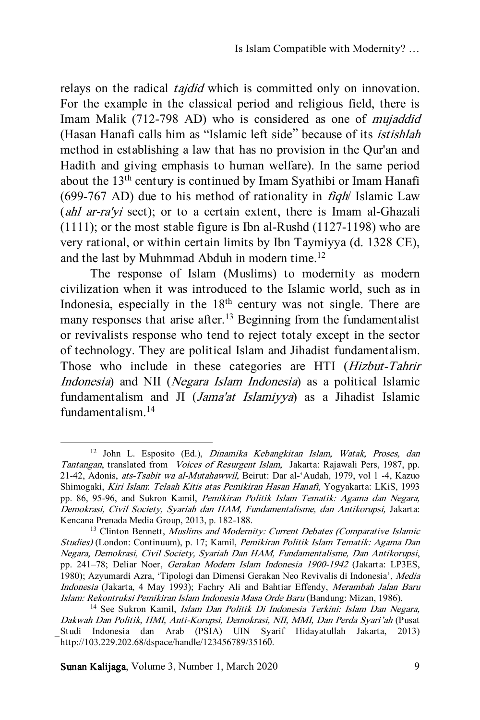relays on the radical *tajdid* which is committed only on innovation. For the example in the classical period and religious field, there is Imam Malik (712-798 AD) who is considered as one of *mujaddid* (Hasan Hanafi calls him as "Islamic left side" because of its istishlah method in establishing a law that has no provision in the Qur'an and Hadith and giving emphasis to human welfare). In the same period about the 13th century is continued by Imam Syathibi or Imam Hanafi (699-767 AD) due to his method of rationality in  $\hat{H}$ dh Islamic Law (*ahl ar-ra'yi* sect); or to a certain extent, there is Imam al-Ghazali (1111); or the most stable figure is Ibn al-Rushd (1127-1198) who are very rational, or within certain limits by Ibn Taymiyya (d. 1328 CE), and the last by Muhmmad Abduh in modern time.<sup>12</sup>

The response of Islam (Muslims) to modernity as modern civilization when it was introduced to the Islamic world, such as in Indonesia, especially in the 18<sup>th</sup> century was not single. There are many responses that arise after.<sup>13</sup> Beginning from the fundamentalist or revivalists response who tend to reject totaly except in the sector of technology. They are political Islam and Jihadist fundamentalism. Those who include in these categories are HTI (Hizbut-Tahrir Indonesia) and NII (Negara Islam Indonesia) as a political Islamic fundamentalism and JI (Jama'at Islamiyya) as a Jihadist Islamic fundamentalism.<sup>14</sup>

Sunan Kalijaga, Volume 3, Number 1, March 2020 9

l

<sup>12</sup> John L. Esposito (Ed.), Dinamika Kebangkitan Islam, Watak, Proses, dan Tantangan, translated from Voices of Resurgent Islam, Jakarta: Rajawali Pers, 1987, pp. 21-42, Adonis, ats-Tsabit wa al-Mutahawwil, Beirut: Dar al-'Audah, 1979, vol 1 -4, Kazuo Shimogaki, Kiri Islam: Telaah Kitis atas Pemikiran Hasan Hanafi, Yogyakarta: LKiS, 1993 pp. 86, 95-96, and Sukron Kamil, Pemikiran Politik Islam Tematik: Agama dan Negara, Demokrasi, Civil Society, Syariah dan HAM, Fundamentalisme, dan Antikorupsi, Jakarta: Kencana Prenada Media Group, 2013, p. 182-188.

<sup>&</sup>lt;sup>13</sup> Clinton Bennett, *Muslims and Modernity: Current Debates (Comparative Islamic* Studies) (London: Continuum), p. 17; Kamil, Pemikiran Politik Islam Tematik: Agama Dan Negara, Demokrasi, Civil Society, Syariah Dan HAM, Fundamentalisme, Dan Antikorupsi, pp. 241–78; Deliar Noer, Gerakan Modern Islam Indonesia 1900-1942 (Jakarta: LP3ES, 1980); Azyumardi Azra, 'Tipologi dan Dimensi Gerakan Neo Revivalis di Indonesia', Media Indonesia (Jakarta, 4 May 1993); Fachry Ali and Bahtiar Effendy, Merambah Jalan Baru Islam: Rekontruksi Pemikiran Islam Indonesia Masa Orde Baru (Bandung: Mizan, 1986).

<sup>&</sup>lt;sup>14</sup> See Sukron Kamil, Islam Dan Politik Di Indonesia Terkini: Islam Dan Negara, Dakwah Dan Politik, HMI, Anti-Korupsi, Demokrasi, NII, MMI, Dan Perda Syari'ah (Pusat Studi Indonesia dan Arab (PSIA) UIN Syarif Hidayatullah Jakarta, 2013) http://103.229.202.68/dspace/handle/123456789/35160.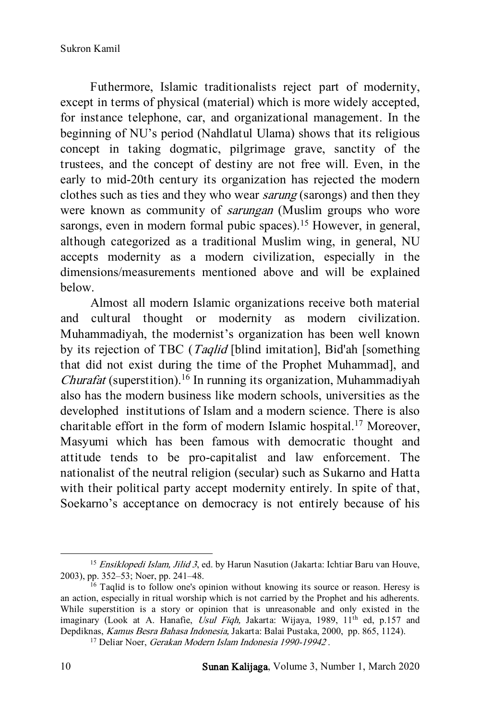Futhermore, Islamic traditionalists reject part of modernity, except in terms of physical (material) which is more widely accepted, for instance telephone, car, and organizational management. In the beginning of NU's period (Nahdlatul Ulama) shows that its religious concept in taking dogmatic, pilgrimage grave, sanctity of the trustees, and the concept of destiny are not free will. Even, in the early to mid-20th century its organization has rejected the modern clothes such as ties and they who wear sarung (sarongs) and then they were known as community of sarungan (Muslim groups who wore sarongs, even in modern formal pubic spaces).<sup>15</sup> However, in general, although categorized as a traditional Muslim wing, in general, NU accepts modernity as a modern civilization, especially in the dimensions/measurements mentioned above and will be explained below.

Almost all modern Islamic organizations receive both material and cultural thought or modernity as modern civilization. Muhammadiyah, the modernist's organization has been well known by its rejection of TBC (*Taqlid* [blind imitation], Bid'ah [something] that did not exist during the time of the Prophet Muhammad], and *Churafat* (superstition).<sup>16</sup> In running its organization, Muhammadiyah also has the modern business like modern schools, universities as the develophed institutions of Islam and a modern science. There is also charitable effort in the form of modern Islamic hospital.<sup>17</sup> Moreover, Masyumi which has been famous with democratic thought and attitude tends to be pro-capitalist and law enforcement. The nationalist of the neutral religion (secular) such as Sukarno and Hatta with their political party accept modernity entirely. In spite of that, Soekarno's acceptance on democracy is not entirely because of his

<sup>&</sup>lt;sup>15</sup> Ensiklopedi Islam, Jilid 3, ed. by Harun Nasution (Jakarta: Ichtiar Baru van Houve, 2003), pp. 352–53; Noer, pp. 241–48.

<sup>&</sup>lt;sup>16</sup> Taqlid is to follow one's opinion without knowing its source or reason. Heresy is an action, especially in ritual worship which is not carried by the Prophet and his adherents. While superstition is a story or opinion that is unreasonable and only existed in the imaginary (Look at A. Hanafie, Usul Fiqh, Jakarta: Wijaya, 1989, 11<sup>th</sup> ed, p.157 and Depdiknas, Kamus Besra Bahasa Indonesia, Jakarta: Balai Pustaka, 2000, pp. 865, 1124).

<sup>&</sup>lt;sup>17</sup> Deliar Noer, Gerakan Modern Islam Indonesia 1990-19942.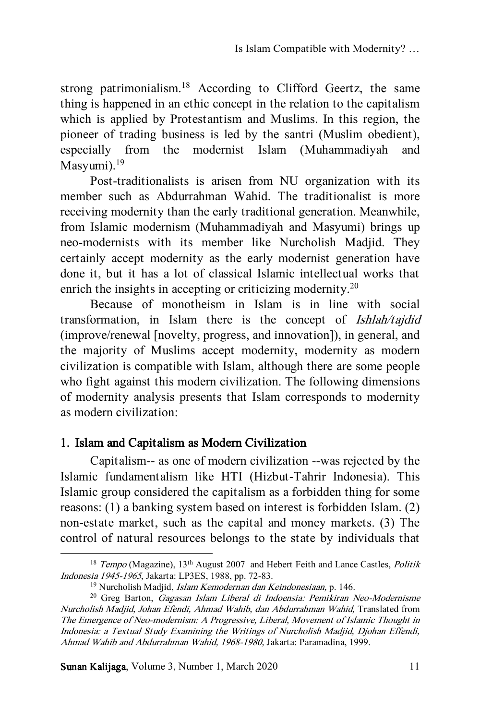strong patrimonialism.<sup>18</sup> According to Clifford Geertz, the same thing is happened in an ethic concept in the relation to the capitalism which is applied by Protestantism and Muslims. In this region, the pioneer of trading business is led by the santri (Muslim obedient), especially from the modernist Islam (Muhammadiyah and Masyumi $1^{19}$ 

Post-traditionalists is arisen from NU organization with its member such as Abdurrahman Wahid. The traditionalist is more receiving modernity than the early traditional generation. Meanwhile, from Islamic modernism (Muhammadiyah and Masyumi) brings up neo-modernists with its member like Nurcholish Madjid. They certainly accept modernity as the early modernist generation have done it, but it has a lot of classical Islamic intellectual works that enrich the insights in accepting or criticizing modernity.<sup>20</sup>

Because of monotheism in Islam is in line with social transformation, in Islam there is the concept of Ishlah/tajdid (improve/renewal [novelty, progress, and innovation]), in general, and the majority of Muslims accept modernity, modernity as modern civilization is compatible with Islam, although there are some people who fight against this modern civilization. The following dimensions of modernity analysis presents that Islam corresponds to modernity as modern civilization:

# 1. Islam and Capitalism as Modern Civilization

Capitalism-- as one of modern civilization --was rejected by the Islamic fundamentalism like HTI (Hizbut-Tahrir Indonesia). This Islamic group considered the capitalism as a forbidden thing for some reasons: (1) a banking system based on interest is forbidden Islam. (2) non-estate market, such as the capital and money markets. (3) The control of natural resources belongs to the state by individuals that

Sunan Kalijaga, Volume 3, Number 1, March 2020 11

 $18$  Tempo (Magazine),  $13<sup>th</sup>$  August 2007 and Hebert Feith and Lance Castles, *Politik* Indonesia 1945-1965, Jakarta: LP3ES, 1988, pp. 72-83.

<sup>&</sup>lt;sup>19</sup> Nurcholish Madjid, *Islam Kemodernan dan Keindonesiaan*, p. 146.

<sup>&</sup>lt;sup>20</sup> Greg Barton, *Gagasan Islam Liberal di Indoensia: Pemikiran Neo-Modernisme* Nurcholish Madjid, Johan Efendi, Ahmad Wahib, dan Abdurrahman Wahid, Translated from The Emergence of Neo-modernism: A Progressive, Liberal, Movement of Islamic Thought in Indonesia: a Textual Study Examining the Writings of Nurcholish Madjid, Djohan Effendi, Ahmad Wahib and Abdurrahman Wahid, 1968-1980, Jakarta: Paramadina, 1999.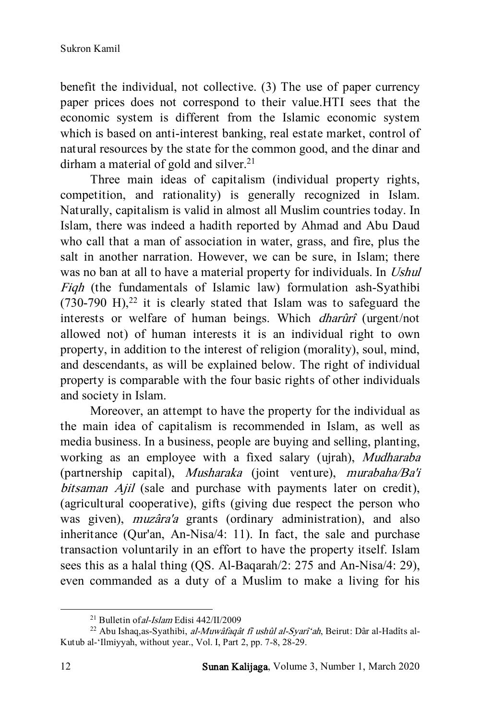benefit the individual, not collective. (3) The use of paper currency paper prices does not correspond to their value.HTI sees that the economic system is different from the Islamic economic system which is based on anti-interest banking, real estate market, control of natural resources by the state for the common good, and the dinar and dirham a material of gold and silver.<sup>21</sup>

Three main ideas of capitalism (individual property rights, competition, and rationality) is generally recognized in Islam. Naturally, capitalism is valid in almost all Muslim countries today. In Islam, there was indeed a hadith reported by Ahmad and Abu Daud who call that a man of association in water, grass, and fire, plus the salt in another narration. However, we can be sure, in Islam; there was no ban at all to have a material property for individuals. In Ushul Fiqh (the fundamentals of Islamic law) formulation ash-Syathibi  $(730-790 \text{ H})$ ,<sup>22</sup> it is clearly stated that Islam was to safeguard the interests or welfare of human beings. Which dharûrî (urgent/not allowed not) of human interests it is an individual right to own property, in addition to the interest of religion (morality), soul, mind, and descendants, as will be explained below. The right of individual property is comparable with the four basic rights of other individuals and society in Islam.

Moreover, an attempt to have the property for the individual as the main idea of capitalism is recommended in Islam, as well as media business. In a business, people are buying and selling, planting, working as an employee with a fixed salary (ujrah), Mudharaba (partnership capital), Musharaka (joint venture), murabaha/Ba'i bitsaman Ajil (sale and purchase with payments later on credit), (agricultural cooperative), gifts (giving due respect the person who was given), muzâra'a grants (ordinary administration), and also inheritance (Qur'an, An-Nisa/4: 11). In fact, the sale and purchase transaction voluntarily in an effort to have the property itself. Islam sees this as a halal thing (QS. Al-Baqarah/2: 275 and An-Nisa/4: 29), even commanded as a duty of a Muslim to make a living for his

<sup>&</sup>lt;sup>21</sup> Bulletin of *al-Islam* Edisi 442/II/2009

<sup>&</sup>lt;sup>22</sup> Abu Ishaq,as-Syathibi, al-Muwâfaqât fî ushûl al-Syarî'ah, Beirut: Dâr al-Hadîts al-Kutub al-'Ilmiyyah, without year., Vol. I, Part 2, pp. 7-8, 28-29.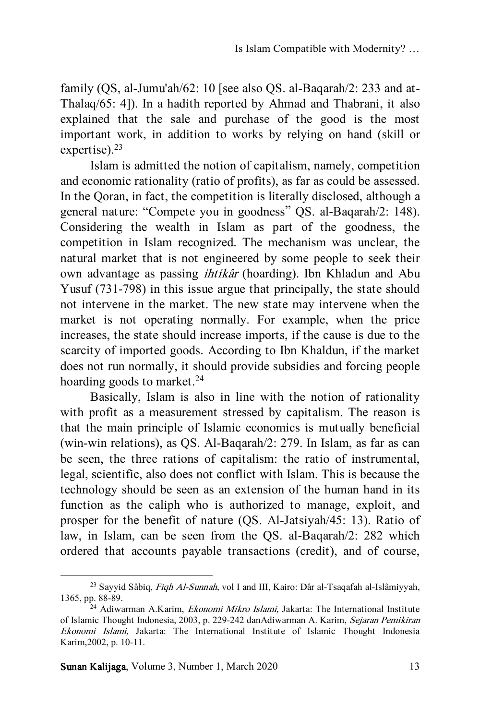family (QS, al-Jumu'ah/62: 10 [see also QS. al-Baqarah/2: 233 and at-Thalaq/65: 4]). In a hadith reported by Ahmad and Thabrani, it also explained that the sale and purchase of the good is the most important work, in addition to works by relying on hand (skill or expertise). $23$ 

Islam is admitted the notion of capitalism, namely, competition and economic rationality (ratio of profits), as far as could be assessed. In the Qoran, in fact, the competition is literally disclosed, although a general nature: "Compete you in goodness" QS. al-Baqarah/2: 148). Considering the wealth in Islam as part of the goodness, the competition in Islam recognized. The mechanism was unclear, the natural market that is not engineered by some people to seek their own advantage as passing ihtikâr (hoarding). Ibn Khladun and Abu Yusuf (731-798) in this issue argue that principally, the state should not intervene in the market. The new state may intervene when the market is not operating normally. For example, when the price increases, the state should increase imports, if the cause is due to the scarcity of imported goods. According to Ibn Khaldun, if the market does not run normally, it should provide subsidies and forcing people hoarding goods to market.<sup>24</sup>

Basically, Islam is also in line with the notion of rationality with profit as a measurement stressed by capitalism. The reason is that the main principle of Islamic economics is mutually beneficial (win-win relations), as QS. Al-Baqarah/2: 279. In Islam, as far as can be seen, the three rations of capitalism: the ratio of instrumental, legal, scientific, also does not conflict with Islam. This is because the technology should be seen as an extension of the human hand in its function as the caliph who is authorized to manage, exploit, and prosper for the benefit of nature (QS. Al-Jatsiyah/45: 13). Ratio of law, in Islam, can be seen from the QS. al-Baqarah/2: 282 which ordered that accounts payable transactions (credit), and of course,

<sup>&</sup>lt;sup>23</sup> Sayyid Sâbiq, Fiqh Al-Sunnah, vol I and III, Kairo: Dâr al-Tsaqafah al-Islâmiyyah, 1365, pp. 88-89.

 $^{24}$  Adiwarman A.Karim, *Ekonomi Mikro Islami*, Jakarta: The International Institute of Islamic Thought Indonesia, 2003, p. 229-242 danAdiwarman A. Karim, Sejaran Pemikiran Ekonomi Islami, Jakarta: The International Institute of Islamic Thought Indonesia Karim,2002, p. 10-11.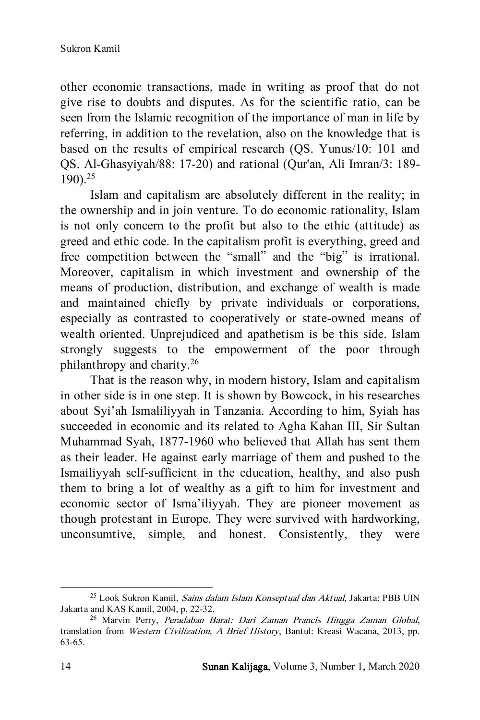other economic transactions, made in writing as proof that do not give rise to doubts and disputes. As for the scientific ratio, can be seen from the Islamic recognition of the importance of man in life by referring, in addition to the revelation, also on the knowledge that is based on the results of empirical research (QS. Yunus/10: 101 and QS. Al-Ghasyiyah/88: 17-20) and rational (Qur'an, Ali Imran/3: 189- 190).<sup>25</sup>

Islam and capitalism are absolutely different in the reality; in the ownership and in join venture. To do economic rationality, Islam is not only concern to the profit but also to the ethic (attitude) as greed and ethic code. In the capitalism profit is everything, greed and free competition between the "small" and the "big" is irrational. Moreover, capitalism in which investment and ownership of the means of production, distribution, and exchange of wealth is made and maintained chiefly by private individuals or corporations, especially as contrasted to cooperatively or state-owned means of wealth oriented. Unprejudiced and apathetism is be this side. Islam strongly suggests to the empowerment of the poor through philanthropy and charity.<sup>26</sup>

That is the reason why, in modern history, Islam and capitalism in other side is in one step. It is shown by Bowcock, in his researches about Syi'ah Ismaliliyyah in Tanzania. According to him, Syiah has succeeded in economic and its related to Agha Kahan III, Sir Sultan Muhammad Syah, 1877-1960 who believed that Allah has sent them as their leader. He against early marriage of them and pushed to the Ismailiyyah self-sufficient in the education, healthy, and also push them to bring a lot of wealthy as a gift to him for investment and economic sector of Isma'iliyyah. They are pioneer movement as though protestant in Europe. They were survived with hardworking, unconsumtive, simple, and honest. Consistently, they were

<sup>&</sup>lt;sup>25</sup> Look Sukron Kamil, Sains dalam Islam Konseptual dan Aktual, Jakarta: PBB UIN Jakarta and KAS Kamil, 2004, p. 22-32.

<sup>26</sup> Marvin Perry, Peradaban Barat: Dari Zaman Prancis Hingga Zaman Global, translation from Western Civilization, A Brief History, Bantul: Kreasi Wacana, 2013, pp. 63-65.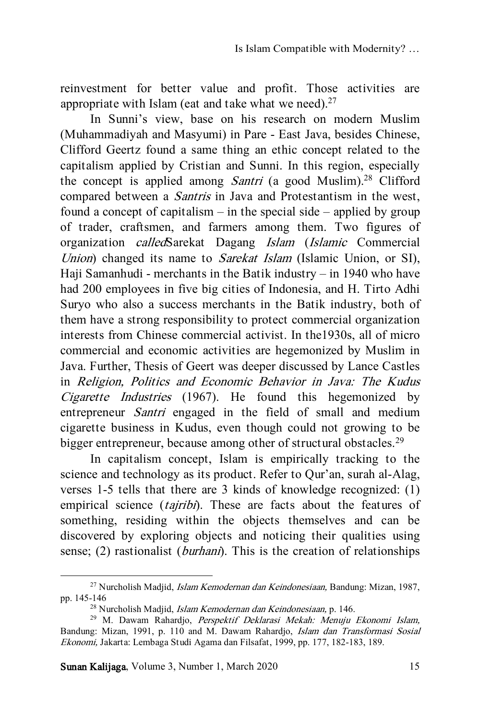reinvestment for better value and profit. Those activities are appropriate with Islam (eat and take what we need). $27$ 

In Sunni's view, base on his research on modern Muslim (Muhammadiyah and Masyumi) in Pare - East Java, besides Chinese, Clifford Geertz found a same thing an ethic concept related to the capitalism applied by Cristian and Sunni. In this region, especially the concept is applied among *Santri* (a good Muslim).<sup>28</sup> Clifford compared between a Santris in Java and Protestantism in the west, found a concept of capitalism – in the special side – applied by group of trader, craftsmen, and farmers among them. Two figures of organization calledSarekat Dagang Islam (Islamic Commercial Union) changed its name to Sarekat Islam (Islamic Union, or SI), Haji Samanhudi - merchants in the Batik industry – in 1940 who have had 200 employees in five big cities of Indonesia, and H. Tirto Adhi Suryo who also a success merchants in the Batik industry, both of them have a strong responsibility to protect commercial organization interests from Chinese commercial activist. In the1930s, all of micro commercial and economic activities are hegemonized by Muslim in Java. Further, Thesis of Geert was deeper discussed by Lance Castles in Religion, Politics and Economic Behavior in Java: The Kudus Cigarette Industries (1967). He found this hegemonized by entrepreneur Santri engaged in the field of small and medium cigarette business in Kudus, even though could not growing to be bigger entrepreneur, because among other of structural obstacles.<sup>29</sup>

In capitalism concept, Islam is empirically tracking to the science and technology as its product. Refer to Qur'an, surah al-Alag, verses 1-5 tells that there are 3 kinds of knowledge recognized: (1) empirical science (tajribi). These are facts about the features of something, residing within the objects themselves and can be discovered by exploring objects and noticing their qualities using sense; (2) rastionalist (*burhani*). This is the creation of relationships

<sup>27</sup> Nurcholish Madjid, Islam Kemodernan dan Keindonesiaan, Bandung: Mizan, 1987, pp. 145-146

<sup>28</sup> Nurcholish Madjid, Islam Kemodernan dan Keindonesiaan, p. 146.

<sup>29</sup> M. Dawam Rahardjo, Perspektif Deklarasi Mekah: Menuju Ekonomi Islam, Bandung: Mizan, 1991, p. 110 and M. Dawam Rahardjo, Islam dan Transformasi Sosial Ekonomi, Jakarta: Lembaga Studi Agama dan Filsafat, 1999, pp. 177, 182-183, 189.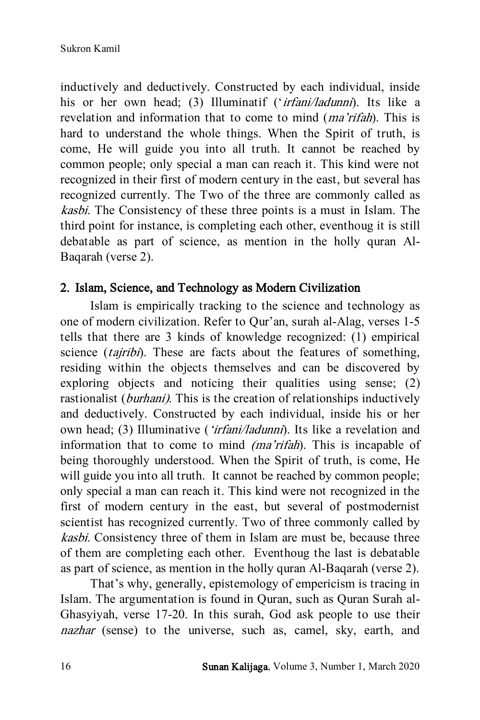inductively and deductively. Constructed by each individual, inside his or her own head; (3) Illuminatif ('irfani/ladunni). Its like a revelation and information that to come to mind (*ma'rifah*). This is hard to understand the whole things. When the Spirit of truth, is come, He will guide you into all truth. It cannot be reached by common people; only special a man can reach it. This kind were not recognized in their first of modern century in the east, but several has recognized currently. The Two of the three are commonly called as kasbi. The Consistency of these three points is a must in Islam. The third point for instance, is completing each other, eventhoug it is still debatable as part of science, as mention in the holly quran Al-Baqarah (verse 2).

# 2. Islam, Science, and Technology as Modern Civilization

Islam is empirically tracking to the science and technology as one of modern civilization. Refer to Qur'an, surah al-Alag, verses 1-5 tells that there are 3 kinds of knowledge recognized: (1) empirical science *(tajribi)*. These are facts about the features of something, residing within the objects themselves and can be discovered by exploring objects and noticing their qualities using sense; (2) rastionalist (*burhani*). This is the creation of relationships inductively and deductively. Constructed by each individual, inside his or her own head; (3) Illuminative (*'irfani/ladunni*). Its like a revelation and information that to come to mind *(ma'rifah)*. This is incapable of being thoroughly understood. When the Spirit of truth, is come, He will guide you into all truth. It cannot be reached by common people; only special a man can reach it. This kind were not recognized in the first of modern century in the east, but several of postmodernist scientist has recognized currently. Two of three commonly called by kasbi. Consistency three of them in Islam are must be, because three of them are completing each other. Eventhoug the last is debatable as part of science, as mention in the holly quran Al-Baqarah (verse 2).

That's why, generally, epistemology of empericism is tracing in Islam. The argumentation is found in Quran, such as Quran Surah al-Ghasyiyah, verse 17-20. In this surah, God ask people to use their nazhar (sense) to the universe, such as, camel, sky, earth, and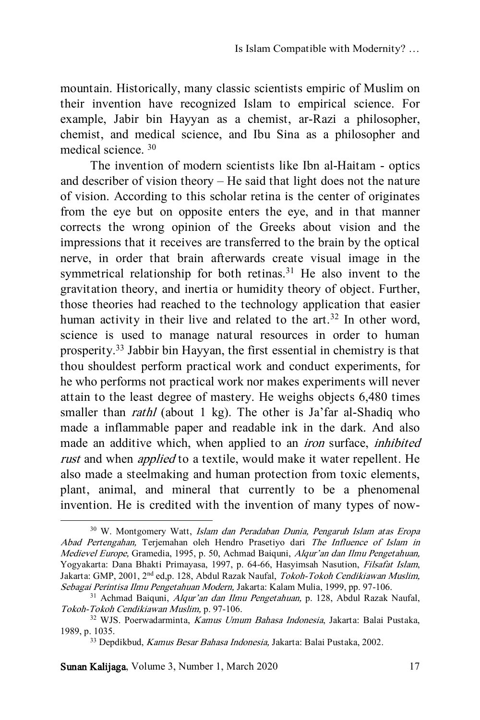mountain. Historically, many classic scientists empiric of Muslim on their invention have recognized Islam to empirical science. For example, Jabir bin Hayyan as a chemist, ar-Razi a philosopher, chemist, and medical science, and Ibu Sina as a philosopher and medical science. <sup>30</sup>

The invention of modern scientists like Ibn al-Haitam - optics and describer of vision theory – He said that light does not the nature of vision. According to this scholar retina is the center of originates from the eye but on opposite enters the eye, and in that manner corrects the wrong opinion of the Greeks about vision and the impressions that it receives are transferred to the brain by the optical nerve, in order that brain afterwards create visual image in the symmetrical relationship for both retinas.<sup>31</sup> He also invent to the gravitation theory, and inertia or humidity theory of object. Further, those theories had reached to the technology application that easier human activity in their live and related to the  $art.^{32}$  In other word, science is used to manage natural resources in order to human prosperity.<sup>33</sup> Jabbir bin Hayyan, the first essential in chemistry is that thou shouldest perform practical work and conduct experiments, for he who performs not practical work nor makes experiments will never attain to the least degree of mastery. He weighs objects 6,480 times smaller than *rathl* (about 1 kg). The other is Ja'far al-Shadiq who made a inflammable paper and readable ink in the dark. And also made an additive which, when applied to an iron surface, inhibited rust and when *applied* to a textile, would make it water repellent. He also made a steelmaking and human protection from toxic elements, plant, animal, and mineral that currently to be a phenomenal invention. He is credited with the invention of many types of now-

Sunan Kalijaga, Volume 3, Number 1, March 2020 17

<sup>&</sup>lt;sup>30</sup> W. Montgomery Watt, *Islam dan Peradaban Dunia*, Pengaruh Islam atas Eropa Abad Pertengahan, Terjemahan oleh Hendro Prasetiyo dari The Influence of Islam in Medievel Europe, Gramedia, 1995, p. 50, Achmad Baiquni, Alqur'an dan Ilmu Pengetahuan, Yogyakarta: Dana Bhakti Primayasa, 1997, p. 64-66, Hasyimsah Nasution, Filsafat Islam, Jakarta: GMP, 2001, 2nd ed,p. 128, Abdul Razak Naufal, Tokoh-Tokoh Cendikiawan Muslim, Sebagai Perintisa Ilmu Pengetahuan Modern, Jakarta: Kalam Mulia, 1999, pp. 97-106.

<sup>&</sup>lt;sup>31</sup> Achmad Baiquni, Alqur'an dan Ilmu Pengetahuan, p. 128, Abdul Razak Naufal, Tokoh-Tokoh Cendikiawan Muslim, p. 97-106.

<sup>32</sup> WJS. Poerwadarminta, Kamus Umum Bahasa Indonesia, Jakarta: Balai Pustaka, 1989, p. 1035.

<sup>33</sup> Depdikbud, Kamus Besar Bahasa Indonesia, Jakarta: Balai Pustaka, 2002.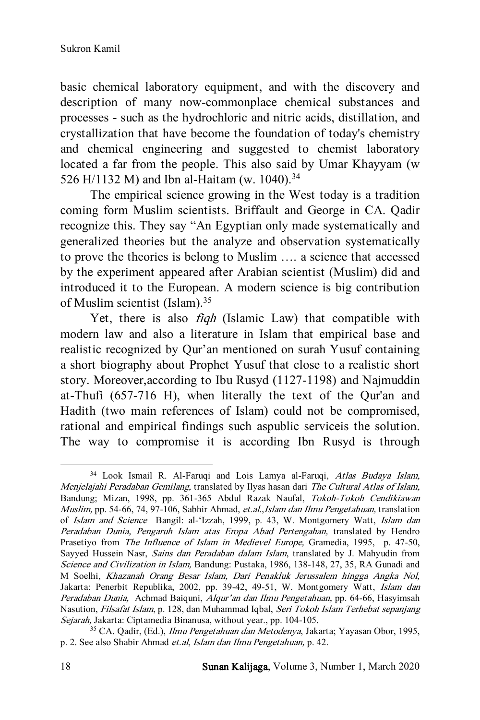basic chemical laboratory equipment, and with the discovery and description of many now-commonplace chemical substances and processes - such as the hydrochloric and nitric acids, distillation, and crystallization that have become the foundation of today's chemistry and chemical engineering and suggested to chemist laboratory located a far from the people. This also said by Umar Khayyam (w 526 H/1132 M) and Ibn al-Haitam (w. 1040).<sup>34</sup>

The empirical science growing in the West today is a tradition coming form Muslim scientists. Briffault and George in CA. Qadir recognize this. They say "An Egyptian only made systematically and generalized theories but the analyze and observation systematically to prove the theories is belong to Muslim …. a science that accessed by the experiment appeared after Arabian scientist (Muslim) did and introduced it to the European. A modern science is big contribution of Muslim scientist (Islam).<sup>35</sup>

Yet, there is also *fiqh* (Islamic Law) that compatible with modern law and also a literature in Islam that empirical base and realistic recognized by Qur'an mentioned on surah Yusuf containing a short biography about Prophet Yusuf that close to a realistic short story. Moreover,according to Ibu Rusyd (1127-1198) and Najmuddin at-Thufi (657-716 H), when literally the text of the Qur'an and Hadith (two main references of Islam) could not be compromised, rational and empirical findings such aspublic serviceis the solution. The way to compromise it is according Ibn Rusyd is through

 $\overline{a}$ <sup>34</sup> Look Ismail R. Al-Faruqi and Lois Lamya al-Faruqi, Atlas Budaya Islam, Menjelajahi Peradaban Gemilang, translated by Ilyas hasan dari The Cultural Atlas of Islam, Bandung; Mizan, 1998, pp. 361-365 Abdul Razak Naufal, Tokoh-Tokoh Cendikiawan Muslim, pp. 54-66, 74, 97-106, Sabhir Ahmad, et.al.,Islam dan Ilmu Pengetahuan, translation of Islam and Science Bangil: al-'Izzah, 1999, p. 43, W. Montgomery Watt, Islam dan Peradaban Dunia, Pengaruh Islam atas Eropa Abad Pertengahan, translated by Hendro Prasetiyo from The Influence of Islam in Medievel Europe, Gramedia, 1995, p. 47-50, Sayyed Hussein Nasr, Sains dan Peradaban dalam Islam, translated by J. Mahyudin from Science and Civilization in Islam, Bandung: Pustaka, 1986, 138-148, 27, 35, RA Gunadi and M Soelhi, Khazanah Orang Besar Islam, Dari Penakluk Jerussalem hingga Angka Nol, Jakarta: Penerbit Republika, 2002, pp. 39-42, 49-51, W. Montgomery Watt, Islam dan Peradaban Dunia, Achmad Baiquni, Alqur'an dan Ilmu Pengetahuan, pp. 64-66, Hasyimsah Nasution, Filsafat Islam, p. 128, dan Muhammad Iqbal, Seri Tokoh Islam Terhebat sepanjang Sejarah, Jakarta: Ciptamedia Binanusa, without year., pp. 104-105.

<sup>35</sup> CA. Qadir, (Ed.), Ilmu Pengetahuan dan Metodenya, Jakarta; Yayasan Obor, 1995, p. 2. See also Shabir Ahmad et.al, Islam dan Ilmu Pengetahuan, p. 42.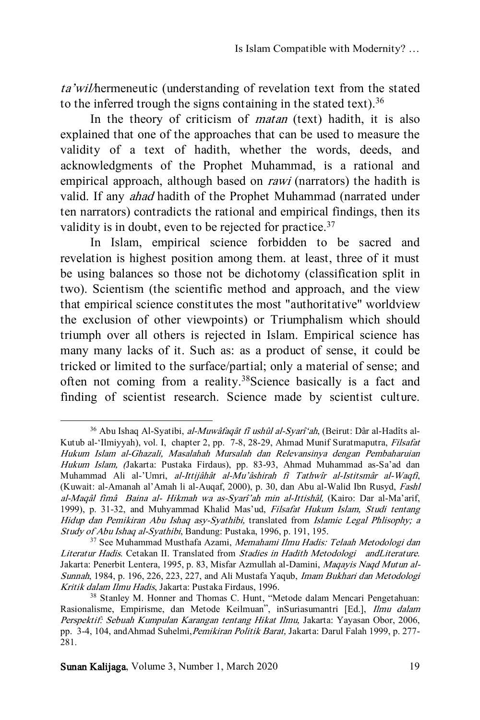ta'wil/hermeneutic (understanding of revelation text from the stated to the inferred trough the signs containing in the stated text).<sup>36</sup>

In the theory of criticism of *matan* (text) hadith, it is also explained that one of the approaches that can be used to measure the validity of a text of hadith, whether the words, deeds, and acknowledgments of the Prophet Muhammad, is a rational and empirical approach, although based on *rawi* (narrators) the hadith is valid. If any ahad hadith of the Prophet Muhammad (narrated under ten narrators) contradicts the rational and empirical findings, then its validity is in doubt, even to be rejected for practice.<sup>37</sup>

In Islam, empirical science forbidden to be sacred and revelation is highest position among them. at least, three of it must be using balances so those not be dichotomy (classification split in two). Scientism (the scientific method and approach, and the view that empirical science constitutes the most "authoritative" worldview the exclusion of other viewpoints) or Triumphalism which should triumph over all others is rejected in Islam. Empirical science has many many lacks of it. Such as: as a product of sense, it could be tricked or limited to the surface/partial; only a material of sense; and often not coming from a reality.<sup>38</sup>Science basically is a fact and finding of scientist research. Science made by scientist culture.

l

<sup>&</sup>lt;sup>36</sup> Abu Ishaq Al-Syatibi, al-Muwâfaqât fî ushûl al-Syarî'ah, (Beirut: Dâr al-Hadîts al-Kutub al-'Ilmiyyah), vol. I, chapter 2, pp. 7-8, 28-29, Ahmad Munif Suratmaputra, Filsafat Hukum Islam al-Ghazali, Masalahah Mursalah dan Relevansinya dengan Pembaharuian Hukum Islam, (Jakarta: Pustaka Firdaus), pp. 83-93, Ahmad Muhammad as-Sa'ad dan Muhammad Ali al-'Umri, al-Ittijâhât al-Mu'âshirah fi Tathwîr al-Istitsmâr al-Waqfi, (Kuwait: al-Amanah al'Amah li al-Auqaf, 2000), p. 30, dan Abu al-Walid Ibn Rusyd, Fashl al-Maqâl fimâ Baina al- Hikmah wa as-Syarî'ah min al-Ittishâl, (Kairo: Dar al-Ma'arif, 1999), p. 31-32, and Muhyammad Khalid Mas'ud, Filsafat Hukum Islam, Studi tentang Hidup dan Pemikiran Abu Ishaq asy-Syathibi, translated from Islamic Legal Phlisophy; a Study of Abu Ishaq al-Syathibi, Bandung: Pustaka, 1996, p. 191, 195.

<sup>&</sup>lt;sup>37</sup> See Muhammad Musthafa Azami, Memahami Ilmu Hadis: Telaah Metodologi dan Literatur Hadis. Cetakan II. Translated from Stadies in Hadith Metodologi andLiterature. Jakarta: Penerbit Lentera, 1995, p. 83, Misfar Azmullah al-Damini, Maqayis Naqd Mutun al-Sunnah, 1984, p. 196, 226, 223, 227, and Ali Mustafa Yaqub, Imam Bukhari dan Metodologi Kritik dalam Ilmu Hadis, Jakarta: Pustaka Firdaus, 1996.

<sup>38</sup> Stanley M. Honner and Thomas C. Hunt, "Metode dalam Mencari Pengetahuan: Rasionalisme, Empirisme, dan Metode Keilmuan", inSuriasumantri [Ed.], Ilmu dalam Perspektif: Sebuah Kumpulan Karangan tentang Hikat Ilmu, Jakarta: Yayasan Obor, 2006, pp. 3-4, 104, andAhmad Suhelmi, Pemikiran Politik Barat, Jakarta: Darul Falah 1999, p. 277-281.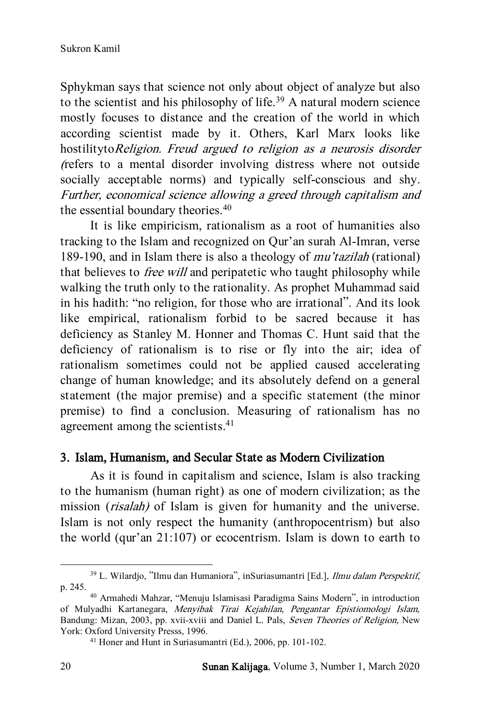Sphykman says that science not only about object of analyze but also to the scientist and his philosophy of life.<sup>39</sup> A natural modern science mostly focuses to distance and the creation of the world in which according scientist made by it. Others, Karl Marx looks like hostilitytoReligion. Freud argued to religion as a neurosis disorder (refers to a mental disorder involving distress where not outside socially acceptable norms) and typically self-conscious and shy. Further, economical science allowing a greed through capitalism and the essential boundary theories.<sup>40</sup>

It is like empiricism, rationalism as a root of humanities also tracking to the Islam and recognized on Qur'an surah Al-Imran, verse 189-190, and in Islam there is also a theology of mu'tazilah (rational) that believes to *free will* and peripatetic who taught philosophy while walking the truth only to the rationality. As prophet Muhammad said in his hadith: "no religion, for those who are irrational". And its look like empirical, rationalism forbid to be sacred because it has deficiency as Stanley M. Honner and Thomas C. Hunt said that the deficiency of rationalism is to rise or fly into the air; idea of rationalism sometimes could not be applied caused accelerating change of human knowledge; and its absolutely defend on a general statement (the major premise) and a specific statement (the minor premise) to find a conclusion. Measuring of rationalism has no agreement among the scientists.<sup>41</sup>

#### 3. Islam, Humanism, and Secular State as Modern Civilization

As it is found in capitalism and science, Islam is also tracking to the humanism (human right) as one of modern civilization; as the mission (risalah) of Islam is given for humanity and the universe. Islam is not only respect the humanity (anthropocentrism) but also the world (qur'an 21:107) or ecocentrism. Islam is down to earth to

<sup>&</sup>lt;sup>39</sup> L. Wilardjo, "Ilmu dan Humaniora", inSuriasumantri [Ed.], *Ilmu dalam Perspektif*, p. 245.

<sup>40</sup> Armahedi Mahzar, "Menuju Islamisasi Paradigma Sains Modern", in introduction of Mulyadhi Kartanegara, Menyibak Tirai Kejahilan, Pengantar Epistiomologi Islam, Bandung: Mizan, 2003, pp. xvii-xviii and Daniel L. Pals, Seven Theories of Religion, New York: Oxford University Presss, 1996.

<sup>41</sup> Honer and Hunt in Suriasumantri (Ed.), 2006, pp. 101-102.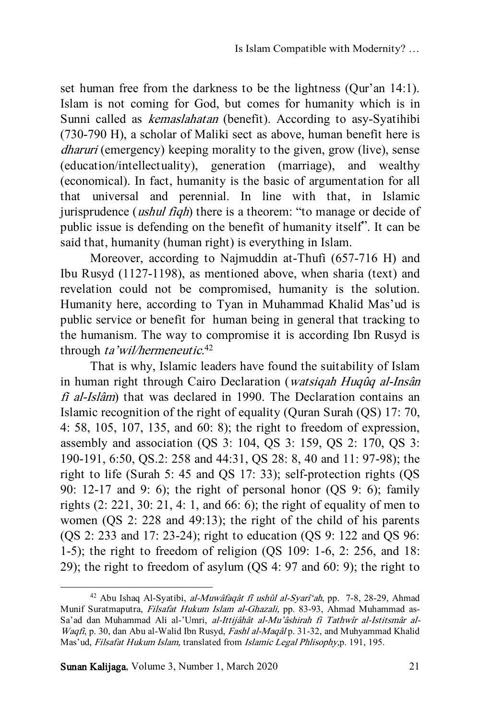set human free from the darkness to be the lightness (Qur'an 14:1). Islam is not coming for God, but comes for humanity which is in Sunni called as kemaslahatan (benefit). According to asy-Syatihibi (730-790 H), a scholar of Maliki sect as above, human benefit here is dharuri (emergency) keeping morality to the given, grow (live), sense (education/intellectuality), generation (marriage), and wealthy (economical). In fact, humanity is the basic of argumentation for all that universal and perennial. In line with that, in Islamic jurisprudence *(ushul fiqh)* there is a theorem: "to manage or decide of public issue is defending on the benefit of humanity itself". It can be said that, humanity (human right) is everything in Islam.

Moreover, according to Najmuddin at-Thufi (657-716 H) and Ibu Rusyd (1127-1198), as mentioned above, when sharia (text) and revelation could not be compromised, humanity is the solution. Humanity here, according to Tyan in Muhammad Khalid Mas'ud is public service or benefit for human being in general that tracking to the humanism. The way to compromise it is according Ibn Rusyd is through ta'wil/hermeneutic.<sup>42</sup>

That is why, Islamic leaders have found the suitability of Islam in human right through Cairo Declaration (watsiqah Huqûq al-Insân fi al-Islâm) that was declared in 1990. The Declaration contains an Islamic recognition of the right of equality (Quran Surah (QS) 17: 70, 4: 58, 105, 107, 135, and 60: 8); the right to freedom of expression, assembly and association (QS 3: 104, QS 3: 159, QS 2: 170, QS 3: 190-191, 6:50, QS.2: 258 and 44:31, QS 28: 8, 40 and 11: 97-98); the right to life (Surah 5: 45 and QS 17: 33); self-protection rights (QS 90: 12-17 and 9: 6); the right of personal honor (QS 9: 6); family rights (2: 221, 30: 21, 4: 1, and 66: 6); the right of equality of men to women (QS 2: 228 and 49:13); the right of the child of his parents (QS 2: 233 and 17: 23-24); right to education (QS 9: 122 and QS 96: 1-5); the right to freedom of religion (QS 109: 1-6, 2: 256, and 18: 29); the right to freedom of asylum (QS 4: 97 and 60: 9); the right to

Sunan Kalijaga, Volume 3, Number 1, March 2020 21

 $42$  Abu Ishaq Al-Syatibi, *al-Muwâfaqât fî ushûl al-Syarî'ah*, pp. 7-8, 28-29, Ahmad Munif Suratmaputra, Filsafat Hukum Islam al-Ghazali, pp. 83-93, Ahmad Muhammad as-Sa'ad dan Muhammad Ali al-'Umri, al-Ittijâhât al-Mu'âshirah fi Tathwîr al-Istitsmâr al-Waqfi, p. 30, dan Abu al-Walid Ibn Rusyd, Fashl al-Maqâl p. 31-32, and Muhyammad Khalid Mas'ud, *Filsafat Hukum Islam*, translated from *Islamic Legal Phlisophy*,p. 191, 195.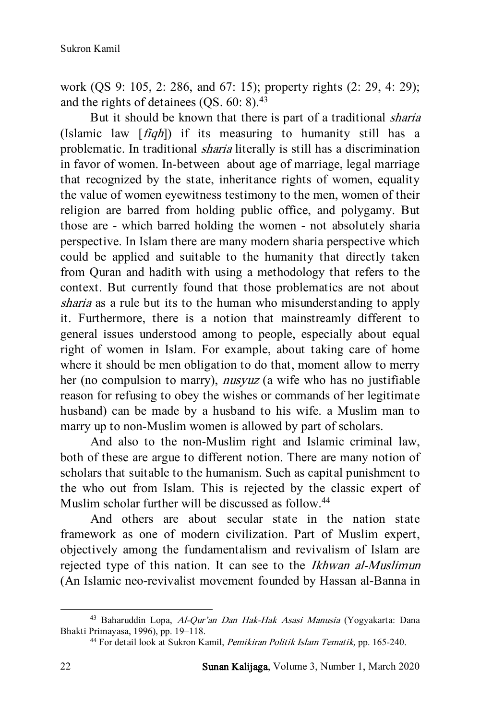work (QS 9: 105, 2: 286, and 67: 15); property rights (2: 29, 4: 29); and the rights of detainees  $(OS, 60: 8).<sup>43</sup>$ 

But it should be known that there is part of a traditional sharia (Islamic law  $\lceil f q h \rceil$ ) if its measuring to humanity still has a problematic. In traditional sharia literally is still has a discrimination in favor of women. In-between about age of marriage, legal marriage that recognized by the state, inheritance rights of women, equality the value of women eyewitness testimony to the men, women of their religion are barred from holding public office, and polygamy. But those are - which barred holding the women - not absolutely sharia perspective. In Islam there are many modern sharia perspective which could be applied and suitable to the humanity that directly taken from Quran and hadith with using a methodology that refers to the context. But currently found that those problematics are not about sharia as a rule but its to the human who misunderstanding to apply it. Furthermore, there is a notion that mainstreamly different to general issues understood among to people, especially about equal right of women in Islam. For example, about taking care of home where it should be men obligation to do that, moment allow to merry her (no compulsion to marry), *nusyuz* (a wife who has no justifiable reason for refusing to obey the wishes or commands of her legitimate husband) can be made by a husband to his wife. a Muslim man to marry up to non-Muslim women is allowed by part of scholars.

And also to the non-Muslim right and Islamic criminal law, both of these are argue to different notion. There are many notion of scholars that suitable to the humanism. Such as capital punishment to the who out from Islam. This is rejected by the classic expert of Muslim scholar further will be discussed as follow.<sup>44</sup>

And others are about secular state in the nation state framework as one of modern civilization. Part of Muslim expert, objectively among the fundamentalism and revivalism of Islam are rejected type of this nation. It can see to the Ikhwan al-Muslimun (An Islamic neo-revivalist movement founded by Hassan al-Banna in

<sup>43</sup> Baharuddin Lopa, Al-Qur'an Dan Hak-Hak Asasi Manusia (Yogyakarta: Dana Bhakti Primayasa, 1996), pp. 19–118.

<sup>44</sup> For detail look at Sukron Kamil, Pemikiran Politik Islam Tematik, pp. 165-240.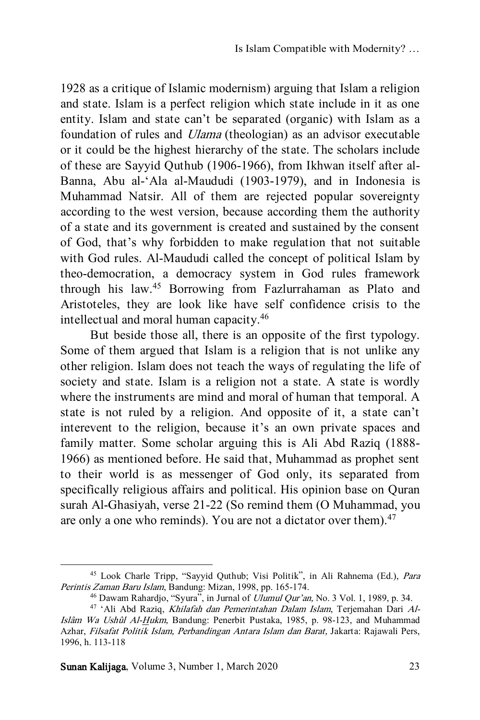1928 as a critique of Islamic modernism) arguing that Islam a religion and state. Islam is a perfect religion which state include in it as one entity. Islam and state can't be separated (organic) with Islam as a foundation of rules and Ulama (theologian) as an advisor executable or it could be the highest hierarchy of the state. The scholars include of these are Sayyid Quthub (1906-1966), from Ikhwan itself after al-Banna, Abu al-'Ala al-Maududi (1903-1979), and in Indonesia is Muhammad Natsir. All of them are rejected popular sovereignty according to the west version, because according them the authority of a state and its government is created and sustained by the consent of God, that's why forbidden to make regulation that not suitable with God rules. Al-Maududi called the concept of political Islam by theo-democration, a democracy system in God rules framework through his law.<sup>45</sup> Borrowing from Fazlurrahaman as Plato and Aristoteles, they are look like have self confidence crisis to the intellectual and moral human capacity.<sup>46</sup>

But beside those all, there is an opposite of the first typology. Some of them argued that Islam is a religion that is not unlike any other religion. Islam does not teach the ways of regulating the life of society and state. Islam is a religion not a state. A state is wordly where the instruments are mind and moral of human that temporal. A state is not ruled by a religion. And opposite of it, a state can't interevent to the religion, because it's an own private spaces and family matter. Some scholar arguing this is Ali Abd Raziq (1888- 1966) as mentioned before. He said that, Muhammad as prophet sent to their world is as messenger of God only, its separated from specifically religious affairs and political. His opinion base on Quran surah Al-Ghasiyah, verse 21-22 (So remind them (O Muhammad, you are only a one who reminds). You are not a dictator over them).<sup>47</sup>

Sunan Kalijaga, Volume 3, Number 1, March 2020 23

<sup>45</sup> Look Charle Tripp, "Sayyid Quthub; Visi Politik", in Ali Rahnema (Ed.), Para Perintis Zaman Baru Islam, Bandung: Mizan, 1998, pp. 165-174.

<sup>&</sup>lt;sup>46</sup> Dawam Rahardjo, "Syura", in Jurnal of *Ulumul Qur'an*, No. 3 Vol. 1, 1989, p. 34.

<sup>47</sup> 'Ali Abd Raziq, Khilafah dan Pemerintahan Dalam Islam, Terjemahan Dari Al-Islâm Wa Ushûl Al-Hukm, Bandung: Penerbit Pustaka, 1985, p. 98-123, and Muhammad Azhar, Filsafat Politik Islam, Perbandingan Antara Islam dan Barat, Jakarta: Rajawali Pers, 1996, h. 113-118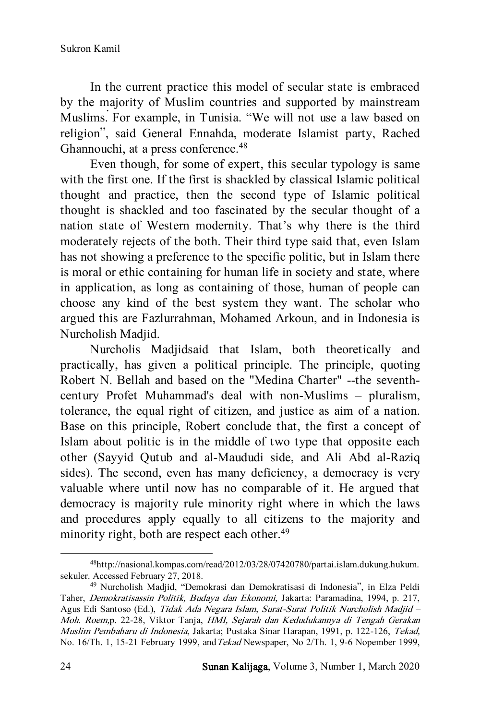In the current practice this model of secular state is embraced by the majority of Muslim countries and supported by mainstream Muslims. For example, in Tunisia. "We will not use a law based on religion", said General Ennahda, moderate Islamist party, Rached Ghannouchi, at a press conference.<sup>48</sup>

Even though, for some of expert, this secular typology is same with the first one. If the first is shackled by classical Islamic political thought and practice, then the second type of Islamic political thought is shackled and too fascinated by the secular thought of a nation state of Western modernity. That's why there is the third moderately rejects of the both. Their third type said that, even Islam has not showing a preference to the specific politic, but in Islam there is moral or ethic containing for human life in society and state, where in application, as long as containing of those, human of people can choose any kind of the best system they want. The scholar who argued this are Fazlurrahman, Mohamed Arkoun, and in Indonesia is Nurcholish Madjid.

Nurcholis Madjidsaid that Islam, both theoretically and practically, has given a political principle. The principle, quoting Robert N. Bellah and based on the "Medina Charter" --the seventhcentury Profet Muhammad's deal with non-Muslims – pluralism, tolerance, the equal right of citizen, and justice as aim of a nation. Base on this principle, Robert conclude that, the first a concept of Islam about politic is in the middle of two type that opposite each other (Sayyid Qutub and al-Maududi side, and Ali Abd al-Raziq sides). The second, even has many deficiency, a democracy is very valuable where until now has no comparable of it. He argued that democracy is majority rule minority right where in which the laws and procedures apply equally to all citizens to the majority and minority right, both are respect each other.<sup>49</sup>

<sup>48</sup>http://nasional.kompas.com/read/2012/03/28/07420780/partai.islam.dukung.hukum. sekuler. Accessed February 27, 2018.

<sup>49</sup> Nurcholish Madjid, "Demokrasi dan Demokratisasi di Indonesia", in Elza Peldi Taher, Demokratisassin Politik, Budaya dan Ekonomi, Jakarta: Paramadina, 1994, p. 217, Agus Edi Santoso (Ed.), Tidak Ada Negara Islam, Surat-Surat Politik Nurcholish Madjid – Moh. Roem,p. 22-28, Viktor Tanja, HMI, Sejarah dan Kedudukannya di Tengah Gerakan Muslim Pembaharu di Indonesia, Jakarta; Pustaka Sinar Harapan, 1991, p. 122-126, Tekad, No. 16/Th. 1, 15-21 February 1999, andTekad Newspaper, No 2/Th. 1, 9-6 Nopember 1999,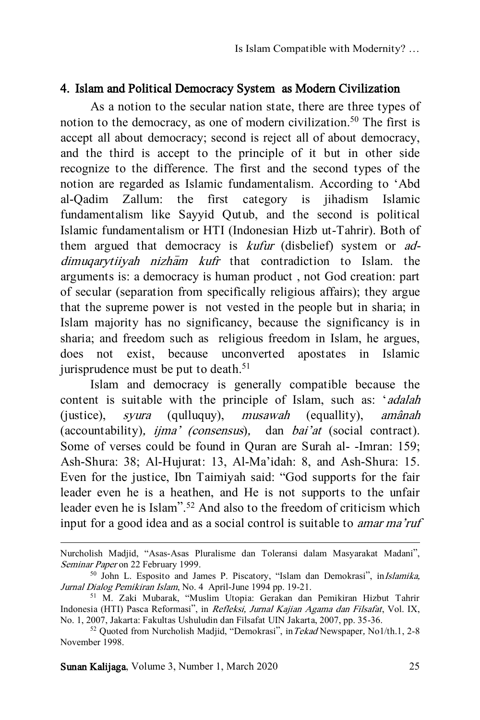#### 4. Islam and Political Democracy System as Modern Civilization

As a notion to the secular nation state, there are three types of notion to the democracy, as one of modern civilization. <sup>50</sup> The first is accept all about democracy; second is reject all of about democracy, and the third is accept to the principle of it but in other side recognize to the difference. The first and the second types of the notion are regarded as Islamic fundamentalism. According to 'Abd al-Qadim Zallum: the first category is jihadism Islamic fundamentalism like Sayyid Qutub, and the second is political Islamic fundamentalism or HTI (Indonesian Hizb ut-Tahrir). Both of them argued that democracy is *kufur* (disbelief) system or *ad* $dimu$ garytiivah nizham kufr that contradiction to Islam. the arguments is: a democracy is human product , not God creation: part of secular (separation from specifically religious affairs); they argue that the supreme power is not vested in the people but in sharia; in Islam majority has no significancy, because the significancy is in sharia; and freedom such as religious freedom in Islam, he argues, does not exist, because unconverted apostates in Islamic jurisprudence must be put to death. 51

Islam and democracy is generally compatible because the content is suitable with the principle of Islam, such as: 'adalah (justice), syura (qulluquy), musawah (equallity), amânah (accountability), ijma' (consensus), dan bai'at (social contract). Some of verses could be found in Quran are Surah al- -Imran: 159; Ash-Shura: 38; Al-Hujurat: 13, Al-Ma'idah: 8, and Ash-Shura: 15. Even for the justice, Ibn Taimiyah said: "God supports for the fair leader even he is a heathen, and He is not supports to the unfair leader even he is Islam".<sup>52</sup> And also to the freedom of criticism which input for a good idea and as a social control is suitable to amar ma'ruf

Sunan Kalijaga, Volume 3, Number 1, March 2020 25

Nurcholish Madjid, "Asas-Asas Pluralisme dan Toleransi dalam Masyarakat Madani", Seminar Paper on 22 February 1999.

<sup>&</sup>lt;sup>50</sup> John L. Esposito and James P. Piscatory, "Islam dan Demokrasi", in*Islamika*, Jurnal Dialog Pemikiran Islam, No. 4 April-June 1994 pp. 19-21.

<sup>51</sup> M. Zaki Mubarak, "Muslim Utopia: Gerakan dan Pemikiran Hizbut Tahrir Indonesia (HTI) Pasca Reformasi", in Refleksi, Jurnal Kajian Agama dan Filsafat, Vol. IX, No. 1, 2007, Jakarta: Fakultas Ushuludin dan Filsafat UIN Jakarta, 2007, pp. 35-36.

<sup>52</sup> Quoted from Nurcholish Madjid, "Demokrasi", inTekad Newspaper, No1/th.1, 2-8 November 1998.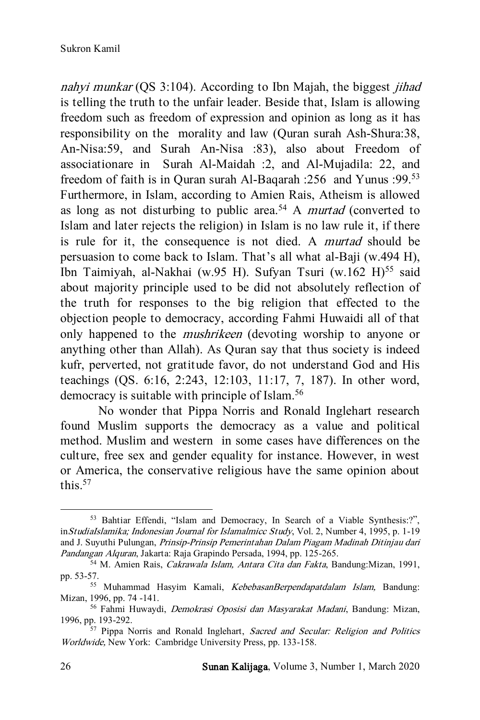nahyi munkar (QS 3:104). According to Ibn Majah, the biggest *jihad* is telling the truth to the unfair leader. Beside that, Islam is allowing freedom such as freedom of expression and opinion as long as it has responsibility on the morality and law (Quran surah Ash-Shura:38, An-Nisa:59, and Surah An-Nisa :83), also about Freedom of associationare in Surah Al-Maidah :2, and Al-Mujadila: 22, and freedom of faith is in Quran surah Al-Baqarah :256 and Yunus :99.<sup>53</sup> Furthermore, in Islam, according to Amien Rais, Atheism is allowed as long as not disturbing to public area.<sup>54</sup> A *murtad* (converted to Islam and later rejects the religion) in Islam is no law rule it, if there is rule for it, the consequence is not died. A murtad should be persuasion to come back to Islam. That's all what al-Baji (w.494 H), Ibn Taimiyah, al-Nakhai (w.95 H). Sufyan Tsuri (w.162 H)<sup>55</sup> said about majority principle used to be did not absolutely reflection of the truth for responses to the big religion that effected to the objection people to democracy, according Fahmi Huwaidi all of that only happened to the mushrikeen (devoting worship to anyone or anything other than Allah). As Quran say that thus society is indeed kufr, perverted, not gratitude favor, do not understand God and His teachings (QS. 6:16, 2:243, 12:103, 11:17, 7, 187). In other word, democracy is suitable with principle of Islam.<sup>56</sup>

No wonder that Pippa Norris and Ronald Inglehart research found Muslim supports the democracy as a value and political method. Muslim and western in some cases have differences on the culture, free sex and gender equality for instance. However, in west or America, the conservative religious have the same opinion about this. 57

<sup>53</sup> Bahtiar Effendi, "Islam and Democracy, In Search of a Viable Synthesis:?", inStudiaIslamika; Indonesian Journal for Islamalmicc Study, Vol. 2, Number 4, 1995, p. 1-19 and J. Suyuthi Pulungan, Prinsip-Prinsip Pemerintahan Dalam Piagam Madinah Ditinjau dari Pandangan Alquran, Jakarta: Raja Grapindo Persada, 1994, pp. 125-265.

<sup>54</sup> M. Amien Rais, Cakrawala Islam, Antara Cita dan Fakta, Bandung:Mizan, 1991, pp. 53-57.

<sup>&</sup>lt;sup>55</sup> Muhammad Hasyim Kamali, KebebasanBerpendapatdalam Islam, Bandung: Mizan, 1996, pp. 74 -141.

<sup>56</sup> Fahmi Huwaydi, Demokrasi Oposisi dan Masyarakat Madani, Bandung: Mizan, 1996, pp. 193-292.

<sup>&</sup>lt;sup>57</sup> Pippa Norris and Ronald Inglehart, Sacred and Secular: Religion and Politics Worldwide, New York: Cambridge University Press, pp. 133-158.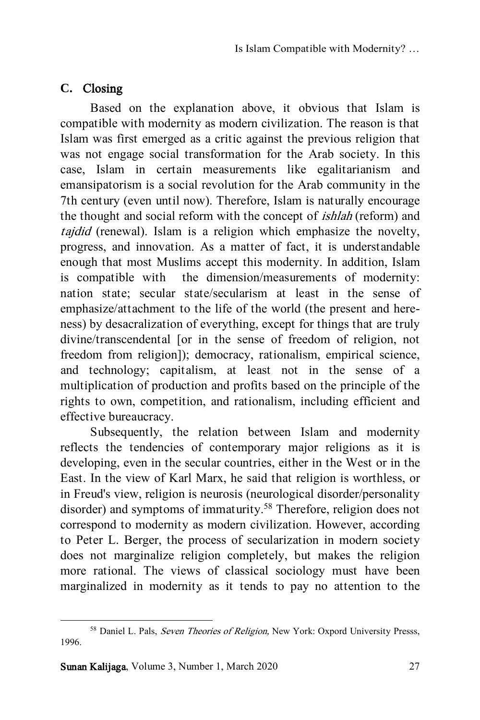# **C.** Closing

Based on the explanation above, it obvious that Islam is compatible with modernity as modern civilization. The reason is that Islam was first emerged as a critic against the previous religion that was not engage social transformation for the Arab society. In this case, Islam in certain measurements like egalitarianism and emansipatorism is a social revolution for the Arab community in the 7th century (even until now). Therefore, Islam is naturally encourage the thought and social reform with the concept of ishlah (reform) and tajdid (renewal). Islam is a religion which emphasize the novelty, progress, and innovation. As a matter of fact, it is understandable enough that most Muslims accept this modernity. In addition, Islam is compatible with the dimension/measurements of modernity: nation state; secular state/secularism at least in the sense of emphasize/attachment to the life of the world (the present and hereness) by desacralization of everything, except for things that are truly divine/transcendental [or in the sense of freedom of religion, not freedom from religion]); democracy, rationalism, empirical science, and technology; capitalism, at least not in the sense of a multiplication of production and profits based on the principle of the rights to own, competition, and rationalism, including efficient and effective bureaucracy.

Subsequently, the relation between Islam and modernity reflects the tendencies of contemporary major religions as it is developing, even in the secular countries, either in the West or in the East. In the view of Karl Marx, he said that religion is worthless, or in Freud's view, religion is neurosis (neurological disorder/personality disorder) and symptoms of immaturity.<sup>58</sup> Therefore, religion does not correspond to modernity as modern civilization. However, according to Peter L. Berger, the process of secularization in modern society does not marginalize religion completely, but makes the religion more rational. The views of classical sociology must have been marginalized in modernity as it tends to pay no attention to the

<sup>&</sup>lt;sup>58</sup> Daniel L. Pals, Seven Theories of Religion, New York: Oxpord University Presss, 1996.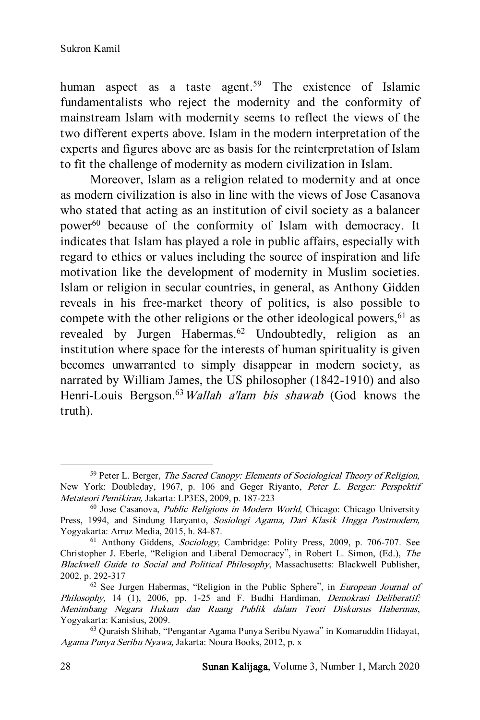human aspect as a taste agent.<sup>59</sup> The existence of Islamic fundamentalists who reject the modernity and the conformity of mainstream Islam with modernity seems to reflect the views of the two different experts above. Islam in the modern interpretation of the experts and figures above are as basis for the reinterpretation of Islam to fit the challenge of modernity as modern civilization in Islam.

Moreover, Islam as a religion related to modernity and at once as modern civilization is also in line with the views of Jose Casanova who stated that acting as an institution of civil society as a balancer power<sup>60</sup> because of the conformity of Islam with democracy. It indicates that Islam has played a role in public affairs, especially with regard to ethics or values including the source of inspiration and life motivation like the development of modernity in Muslim societies. Islam or religion in secular countries, in general, as Anthony Gidden reveals in his free-market theory of politics, is also possible to compete with the other religions or the other ideological powers,  $61$  as revealed by Jurgen Habermas.<sup>62</sup> Undoubtedly, religion as an institution where space for the interests of human spirituality is given becomes unwarranted to simply disappear in modern society, as narrated by William James, the US philosopher (1842-1910) and also Henri-Louis Bergson.<sup>63</sup>Wallah a'lam bis shawab (God knows the truth).

<sup>&</sup>lt;sup>59</sup> Peter L. Berger, *The Sacred Canopy: Elements of Sociological Theory of Religion*, New York: Doubleday, 1967, p. 106 and Geger Riyanto, Peter L. Berger: Perspektif Metateori Pemikiran, Jakarta: LP3ES, 2009, p. 187-223

<sup>60</sup> Jose Casanova, Public Religions in Modern World, Chicago: Chicago University Press, 1994, and Sindung Haryanto, Sosiologi Agama, Dari Klasik Hngga Postmodern, Yogyakarta: Arruz Media, 2015, h. 84-87.

<sup>61</sup> Anthony Giddens, Sociology, Cambridge: Polity Press, 2009, p. 706-707. See Christopher J. Eberle, "Religion and Liberal Democracy", in Robert L. Simon, (Ed.), The Blackwell Guide to Social and Political Philosophy, Massachusetts: Blackwell Publisher, 2002, p. 292-317

<sup>&</sup>lt;sup>62</sup> See Jurgen Habermas, "Religion in the Public Sphere", in *European Journal of* Philosophy, 14 (1), 2006, pp. 1-25 and F. Budhi Hardiman, *Demokrasi Deliberatif:* Menimbang Negara Hukum dan Ruang Publik dalam Teori Diskursus Habermas, Yogyakarta: Kanisius, 2009.

<sup>63</sup> Quraish Shihab, "Pengantar Agama Punya Seribu Nyawa" in Komaruddin Hidayat, Agama Punya Seribu Nyawa, Jakarta: Noura Books, 2012, p. x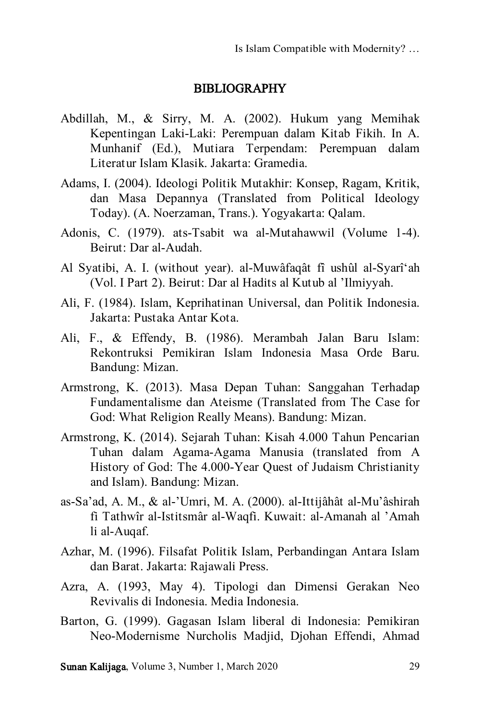#### BIBLIOGRAPHY

- Abdillah, M., & Sirry, M. A. (2002). Hukum yang Memihak Kepentingan Laki-Laki: Perempuan dalam Kitab Fikih. In A. Munhanif (Ed.), Mutiara Terpendam: Perempuan dalam Literatur Islam Klasik. Jakarta: Gramedia.
- Adams, I. (2004). Ideologi Politik Mutakhir: Konsep, Ragam, Kritik, dan Masa Depannya (Translated from Political Ideology Today). (A. Noerzaman, Trans.). Yogyakarta: Qalam.
- Adonis, C. (1979). ats-Tsabit wa al-Mutahawwil (Volume 1-4). Beirut: Dar al-Audah.
- Al Syatibi, A. I. (without year). al-Muwâfaqât fî ushûl al-Syarî'ah (Vol. I Part 2). Beirut: Dar al Hadits al Kutub al 'Ilmiyyah.
- Ali, F. (1984). Islam, Keprihatinan Universal, dan Politik Indonesia. Jakarta: Pustaka Antar Kota.
- Ali, F., & Effendy, B. (1986). Merambah Jalan Baru Islam: Rekontruksi Pemikiran Islam Indonesia Masa Orde Baru. Bandung: Mizan.
- Armstrong, K. (2013). Masa Depan Tuhan: Sanggahan Terhadap Fundamentalisme dan Ateisme (Translated from The Case for God: What Religion Really Means). Bandung: Mizan.
- Armstrong, K. (2014). Sejarah Tuhan: Kisah 4.000 Tahun Pencarian Tuhan dalam Agama-Agama Manusia (translated from A History of God: The 4.000-Year Quest of Judaism Christianity and Islam). Bandung: Mizan.
- as-Sa'ad, A. M., & al-'Umri, M. A. (2000). al-Ittijâhât al-Mu'âshirah fi Tathwîr al-Istitsmâr al-Waqfi. Kuwait: al-Amanah al 'Amah li al-Auqaf.
- Azhar, M. (1996). Filsafat Politik Islam, Perbandingan Antara Islam dan Barat. Jakarta: Rajawali Press.
- Azra, A. (1993, May 4). Tipologi dan Dimensi Gerakan Neo Revivalis di Indonesia. Media Indonesia.
- Barton, G. (1999). Gagasan Islam liberal di Indonesia: Pemikiran Neo-Modernisme Nurcholis Madjid, Djohan Effendi, Ahmad

Sunan Kalijaga, Volume 3, Number 1, March 2020 29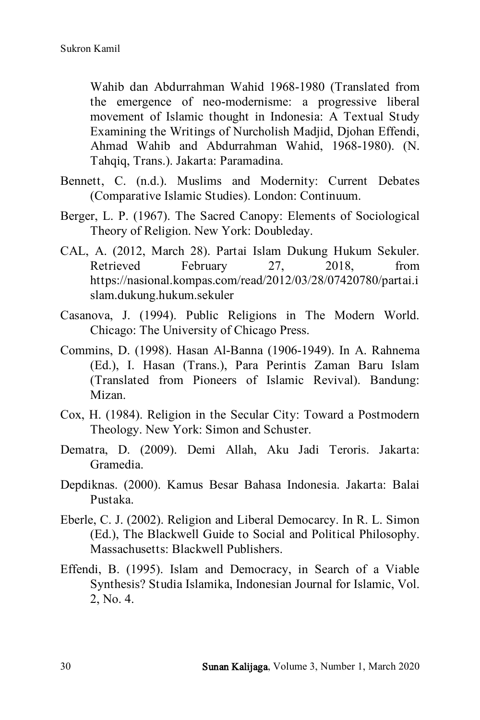Wahib dan Abdurrahman Wahid 1968-1980 (Translated from the emergence of neo-modernisme: a progressive liberal movement of Islamic thought in Indonesia: A Textual Study Examining the Writings of Nurcholish Madjid, Djohan Effendi, Ahmad Wahib and Abdurrahman Wahid, 1968-1980). (N. Tahqiq, Trans.). Jakarta: Paramadina.

- Bennett, C. (n.d.). Muslims and Modernity: Current Debates (Comparative Islamic Studies). London: Continuum.
- Berger, L. P. (1967). The Sacred Canopy: Elements of Sociological Theory of Religion. New York: Doubleday.
- CAL, A. (2012, March 28). Partai Islam Dukung Hukum Sekuler. Retrieved February 27, 2018, from https://nasional.kompas.com/read/2012/03/28/07420780/partai.i slam.dukung.hukum.sekuler
- Casanova, J. (1994). Public Religions in The Modern World. Chicago: The University of Chicago Press.
- Commins, D. (1998). Hasan Al-Banna (1906-1949). In A. Rahnema (Ed.), I. Hasan (Trans.), Para Perintis Zaman Baru Islam (Translated from Pioneers of Islamic Revival). Bandung: Mizan.
- Cox, H. (1984). Religion in the Secular City: Toward a Postmodern Theology. New York: Simon and Schuster.
- Dematra, D. (2009). Demi Allah, Aku Jadi Teroris. Jakarta: Gramedia.
- Depdiknas. (2000). Kamus Besar Bahasa Indonesia. Jakarta: Balai Pustaka.
- Eberle, C. J. (2002). Religion and Liberal Democarcy. In R. L. Simon (Ed.), The Blackwell Guide to Social and Political Philosophy. Massachusetts: Blackwell Publishers.
- Effendi, B. (1995). Islam and Democracy, in Search of a Viable Synthesis? Studia Islamika, Indonesian Journal for Islamic, Vol. 2, No. 4.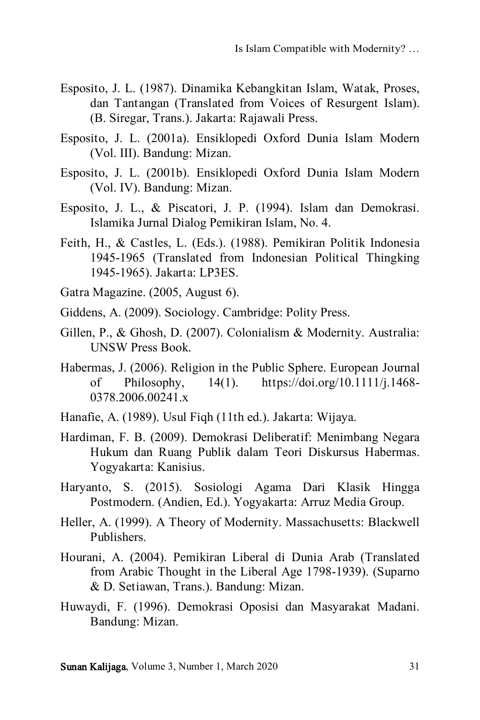- Esposito, J. L. (1987). Dinamika Kebangkitan Islam, Watak, Proses, dan Tantangan (Translated from Voices of Resurgent Islam). (B. Siregar, Trans.). Jakarta: Rajawali Press.
- Esposito, J. L. (2001a). Ensiklopedi Oxford Dunia Islam Modern (Vol. III). Bandung: Mizan.
- Esposito, J. L. (2001b). Ensiklopedi Oxford Dunia Islam Modern (Vol. IV). Bandung: Mizan.
- Esposito, J. L., & Piscatori, J. P. (1994). Islam dan Demokrasi. Islamika Jurnal Dialog Pemikiran Islam, No. 4.
- Feith, H., & Castles, L. (Eds.). (1988). Pemikiran Politik Indonesia 1945-1965 (Translated from Indonesian Political Thingking 1945-1965). Jakarta: LP3ES.
- Gatra Magazine. (2005, August 6).
- Giddens, A. (2009). Sociology. Cambridge: Polity Press.
- Gillen, P., & Ghosh, D. (2007). Colonialism & Modernity. Australia: UNSW Press Book.
- Habermas, J. (2006). Religion in the Public Sphere. European Journal of Philosophy, 14(1). https://doi.org/10.1111/j.1468- 0378.2006.00241.x
- Hanafie, A. (1989). Usul Fiqh (11th ed.). Jakarta: Wijaya.
- Hardiman, F. B. (2009). Demokrasi Deliberatif: Menimbang Negara Hukum dan Ruang Publik dalam Teori Diskursus Habermas. Yogyakarta: Kanisius.
- Haryanto, S. (2015). Sosiologi Agama Dari Klasik Hingga Postmodern. (Andien, Ed.). Yogyakarta: Arruz Media Group.
- Heller, A. (1999). A Theory of Modernity. Massachusetts: Blackwell Publishers.
- Hourani, A. (2004). Pemikiran Liberal di Dunia Arab (Translated from Arabic Thought in the Liberal Age 1798-1939). (Suparno & D. Setiawan, Trans.). Bandung: Mizan.
- Huwaydi, F. (1996). Demokrasi Oposisi dan Masyarakat Madani. Bandung: Mizan.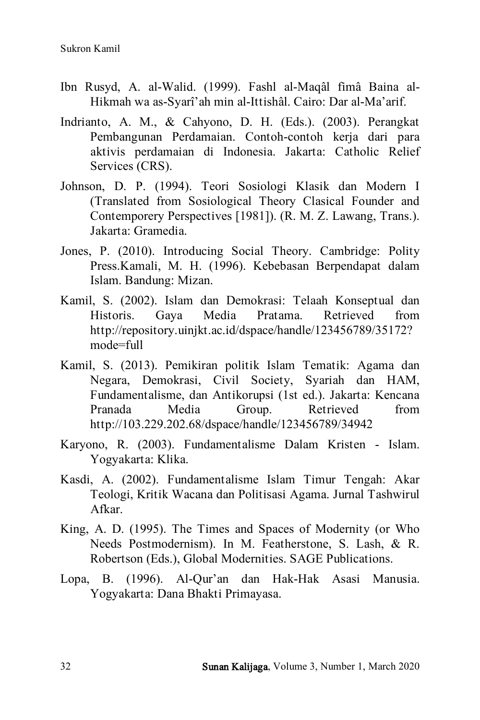- Ibn Rusyd, A. al-Walid. (1999). Fashl al-Maqâl fimâ Baina al-Hikmah wa as-Syarî'ah min al-Ittishâl. Cairo: Dar al-Ma'arif.
- Indrianto, A. M., & Cahyono, D. H. (Eds.). (2003). Perangkat Pembangunan Perdamaian. Contoh-contoh kerja dari para aktivis perdamaian di Indonesia. Jakarta: Catholic Relief Services (CRS).
- Johnson, D. P. (1994). Teori Sosiologi Klasik dan Modern I (Translated from Sosiological Theory Clasical Founder and Contemporery Perspectives [1981]). (R. M. Z. Lawang, Trans.). Jakarta: Gramedia.
- Jones, P. (2010). Introducing Social Theory. Cambridge: Polity Press.Kamali, M. H. (1996). Kebebasan Berpendapat dalam Islam. Bandung: Mizan.
- Kamil, S. (2002). Islam dan Demokrasi: Telaah Konseptual dan Historis. Gaya Media Pratama. Retrieved from http://repository.uinjkt.ac.id/dspace/handle/123456789/35172? mode=full
- Kamil, S. (2013). Pemikiran politik Islam Tematik: Agama dan Negara, Demokrasi, Civil Society, Syariah dan HAM, Fundamentalisme, dan Antikorupsi (1st ed.). Jakarta: Kencana Pranada Media Group. Retrieved from http://103.229.202.68/dspace/handle/123456789/34942
- Karyono, R. (2003). Fundamentalisme Dalam Kristen Islam. Yogyakarta: Klika.
- Kasdi, A. (2002). Fundamentalisme Islam Timur Tengah: Akar Teologi, Kritik Wacana dan Politisasi Agama. Jurnal Tashwirul Afkar.
- King, A. D. (1995). The Times and Spaces of Modernity (or Who Needs Postmodernism). In M. Featherstone, S. Lash, & R. Robertson (Eds.), Global Modernities. SAGE Publications.
- Lopa, B. (1996). Al-Qur'an dan Hak-Hak Asasi Manusia. Yogyakarta: Dana Bhakti Primayasa.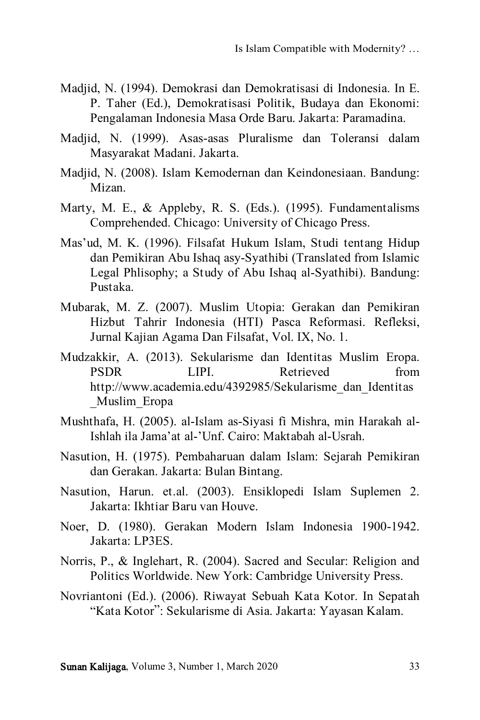- Madjid, N. (1994). Demokrasi dan Demokratisasi di Indonesia. In E. P. Taher (Ed.), Demokratisasi Politik, Budaya dan Ekonomi: Pengalaman Indonesia Masa Orde Baru. Jakarta: Paramadina.
- Madjid, N. (1999). Asas-asas Pluralisme dan Toleransi dalam Masyarakat Madani. Jakarta.
- Madjid, N. (2008). Islam Kemodernan dan Keindonesiaan. Bandung: Mizan.
- Marty, M. E., & Appleby, R. S. (Eds.). (1995). Fundamentalisms Comprehended. Chicago: University of Chicago Press.
- Mas'ud, M. K. (1996). Filsafat Hukum Islam, Studi tentang Hidup dan Pemikiran Abu Ishaq asy-Syathibi (Translated from Islamic Legal Phlisophy; a Study of Abu Ishaq al-Syathibi). Bandung: Pustaka.
- Mubarak, M. Z. (2007). Muslim Utopia: Gerakan dan Pemikiran Hizbut Tahrir Indonesia (HTI) Pasca Reformasi. Refleksi, Jurnal Kajian Agama Dan Filsafat, Vol. IX, No. 1.
- Mudzakkir, A. (2013). Sekularisme dan Identitas Muslim Eropa. PSDR LIPI. Retrieved from http://www.academia.edu/4392985/Sekularisme\_dan\_Identitas \_Muslim\_Eropa
- Mushthafa, H. (2005). al-Islam as-Siyasi fi Mishra, min Harakah al-Ishlah ila Jama'at al-'Unf. Cairo: Maktabah al-Usrah.
- Nasution, H. (1975). Pembaharuan dalam Islam: Sejarah Pemikiran dan Gerakan. Jakarta: Bulan Bintang.
- Nasution, Harun. et.al. (2003). Ensiklopedi Islam Suplemen 2. Jakarta: Ikhtiar Baru van Houve.
- Noer, D. (1980). Gerakan Modern Islam Indonesia 1900-1942. Jakarta: LP3ES.
- Norris, P., & Inglehart, R. (2004). Sacred and Secular: Religion and Politics Worldwide. New York: Cambridge University Press.
- Novriantoni (Ed.). (2006). Riwayat Sebuah Kata Kotor. In Sepatah "Kata Kotor": Sekularisme di Asia. Jakarta: Yayasan Kalam.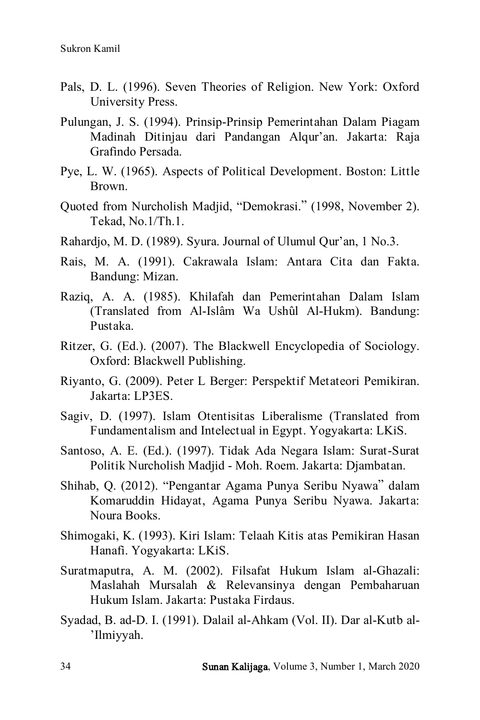- Pals, D. L. (1996). Seven Theories of Religion. New York: Oxford University Press.
- Pulungan, J. S. (1994). Prinsip-Prinsip Pemerintahan Dalam Piagam Madinah Ditinjau dari Pandangan Alqur'an. Jakarta: Raja Grafindo Persada.
- Pye, L. W. (1965). Aspects of Political Development. Boston: Little Brown.
- Quoted from Nurcholish Madjid, "Demokrasi." (1998, November 2). Tekad, No.1/Th.1.
- Rahardjo, M. D. (1989). Syura. Journal of Ulumul Qur'an, 1 No.3.
- Rais, M. A. (1991). Cakrawala Islam: Antara Cita dan Fakta. Bandung: Mizan.
- Raziq, A. A. (1985). Khilafah dan Pemerintahan Dalam Islam (Translated from Al-Islâm Wa Ushûl Al-Hukm). Bandung: Pustaka.
- Ritzer, G. (Ed.). (2007). The Blackwell Encyclopedia of Sociology. Oxford: Blackwell Publishing.
- Riyanto, G. (2009). Peter L Berger: Perspektif Metateori Pemikiran. Jakarta: LP3ES.
- Sagiv, D. (1997). Islam Otentisitas Liberalisme (Translated from Fundamentalism and Intelectual in Egypt. Yogyakarta: LKiS.
- Santoso, A. E. (Ed.). (1997). Tidak Ada Negara Islam: Surat-Surat Politik Nurcholish Madjid - Moh. Roem. Jakarta: Djambatan.
- Shihab, Q. (2012). "Pengantar Agama Punya Seribu Nyawa" dalam Komaruddin Hidayat, Agama Punya Seribu Nyawa. Jakarta: Noura Books.
- Shimogaki, K. (1993). Kiri Islam: Telaah Kitis atas Pemikiran Hasan Hanafi. Yogyakarta: LKiS.
- Suratmaputra, A. M. (2002). Filsafat Hukum Islam al-Ghazali: Maslahah Mursalah & Relevansinya dengan Pembaharuan Hukum Islam. Jakarta: Pustaka Firdaus.
- Syadad, B. ad-D. I. (1991). Dalail al-Ahkam (Vol. II). Dar al-Kutb al- 'Ilmiyyah.